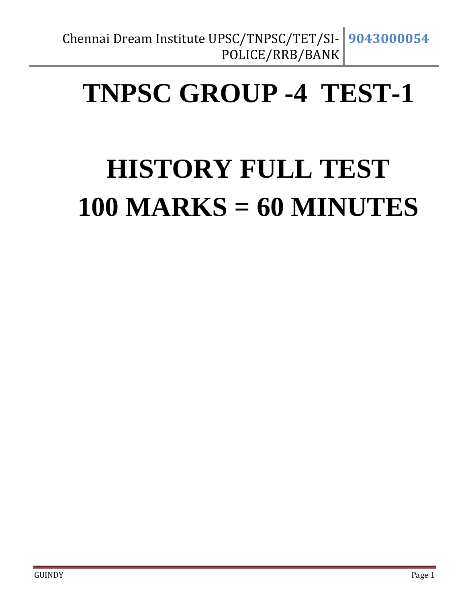## **TNPSC GROUP -4 TEST-1**

# **HISTORY FULL TEST 100 MARKS = 60 MINUTES**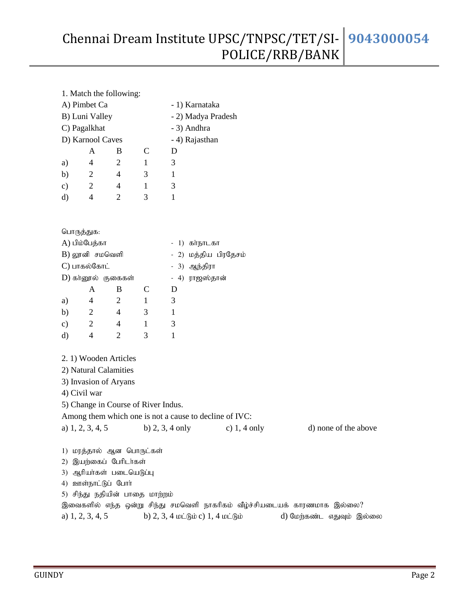|               | 1. Match the following:             |                |              |                                                        |                                               |                                                                          |  |  |  |  |
|---------------|-------------------------------------|----------------|--------------|--------------------------------------------------------|-----------------------------------------------|--------------------------------------------------------------------------|--|--|--|--|
|               | A) Pimbet Ca                        |                |              | - 1) Karnataka                                         |                                               |                                                                          |  |  |  |  |
|               | B) Luni Valley                      |                |              |                                                        | - 2) Madya Pradesh                            |                                                                          |  |  |  |  |
|               | C) Pagalkhat                        |                |              | - 3) Andhra                                            |                                               |                                                                          |  |  |  |  |
|               | D) Karnool Caves                    |                |              | - 4) Rajasthan                                         |                                               |                                                                          |  |  |  |  |
|               | A                                   | B              | $\mathsf{C}$ | D                                                      |                                               |                                                                          |  |  |  |  |
| a)            | $\overline{4}$                      | $\mathbf{2}$   | $\mathbf{1}$ | 3                                                      |                                               |                                                                          |  |  |  |  |
| b)            | 2                                   | $\overline{4}$ | 3            | $\mathbf 1$                                            |                                               |                                                                          |  |  |  |  |
| $\mathbf{c})$ | $\overline{2}$                      | $\overline{4}$ | $\mathbf{1}$ | 3                                                      |                                               |                                                                          |  |  |  |  |
| d)            | $\overline{4}$                      | $\overline{2}$ | 3            | 1                                                      |                                               |                                                                          |  |  |  |  |
|               |                                     |                |              |                                                        |                                               |                                                                          |  |  |  |  |
|               |                                     |                |              |                                                        |                                               |                                                                          |  |  |  |  |
|               | பொருத்துக:                          |                |              |                                                        |                                               |                                                                          |  |  |  |  |
|               | A) பிம்பேத்கா                       |                |              | கா்நாடகா<br>$\overline{\phantom{a}}$<br><sup>1</sup>   |                                               |                                                                          |  |  |  |  |
|               | $B)$ லூனி சமவெளி                    |                |              | - 2) மத்திய பிரதேசம்                                   |                                               |                                                                          |  |  |  |  |
|               | C) பாகல்கோட்                        |                |              | $-3)$                                                  | ஆந்திரா                                       |                                                                          |  |  |  |  |
|               | D) காலூல் குகைகள்                   |                |              | $-4)$                                                  | ராஜஸ்தான்                                     |                                                                          |  |  |  |  |
|               | A                                   | B              | $\mathsf{C}$ | D                                                      |                                               |                                                                          |  |  |  |  |
| a)            | $\overline{4}$                      | $\overline{c}$ | $\mathbf{1}$ | 3                                                      |                                               |                                                                          |  |  |  |  |
| b)            | $\overline{2}$                      | $\overline{4}$ | 3            | $\mathbf 1$                                            |                                               |                                                                          |  |  |  |  |
| $\mathbf{c})$ | $\overline{2}$                      | $\overline{4}$ | $\mathbf{1}$ | 3                                                      |                                               |                                                                          |  |  |  |  |
| d)            | $\overline{4}$                      | $\overline{2}$ | 3            | $\mathbf{1}$                                           |                                               |                                                                          |  |  |  |  |
|               |                                     |                |              |                                                        |                                               |                                                                          |  |  |  |  |
|               | 2. 1) Wooden Articles               |                |              |                                                        |                                               |                                                                          |  |  |  |  |
|               | 2) Natural Calamities               |                |              |                                                        |                                               |                                                                          |  |  |  |  |
|               | 3) Invasion of Aryans               |                |              |                                                        |                                               |                                                                          |  |  |  |  |
|               | 4) Civil war                        |                |              |                                                        |                                               |                                                                          |  |  |  |  |
|               | 5) Change in Course of River Indus. |                |              |                                                        |                                               |                                                                          |  |  |  |  |
|               |                                     |                |              | Among them which one is not a cause to decline of IVC: |                                               |                                                                          |  |  |  |  |
|               |                                     |                |              |                                                        | a) 1, 2, 3, 4, 5 b) 2, 3, 4 only c) 1, 4 only | d) none of the above                                                     |  |  |  |  |
|               |                                     |                |              |                                                        |                                               |                                                                          |  |  |  |  |
|               | 1) மரத்தால் ஆன பொருட்கள்            |                |              |                                                        |                                               |                                                                          |  |  |  |  |
|               | 2) இயற்கைப் பேரிடர்கள்              |                |              |                                                        |                                               |                                                                          |  |  |  |  |
| 3)            | ஆரியா்கள் படையெடுப்பு               |                |              |                                                        |                                               |                                                                          |  |  |  |  |
|               | 4) ஊள்நாட்டுப் போர்                 |                |              |                                                        |                                               |                                                                          |  |  |  |  |
|               | 5) சிந்து நதியின் பாதை மாற்றம்      |                |              |                                                        |                                               |                                                                          |  |  |  |  |
|               |                                     |                |              |                                                        |                                               | இவைகளில் எந்த ஒன்று சிந்து சமவெளி நாகரிகம் வீழ்ச்சியடையக் காரணமாக இல்லை? |  |  |  |  |
|               | a) $1, 2, 3, 4, 5$                  |                |              | b) $2, 3, 4$ wighing $1, 4$ wighing                    |                                               | d) மேற்கண்ட எதுவும் இல்லை                                                |  |  |  |  |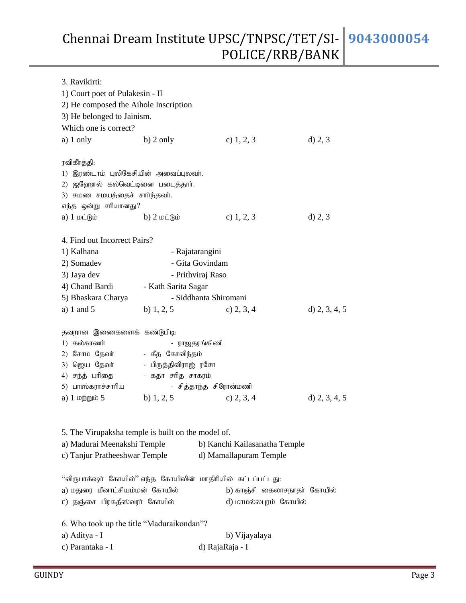| 3. Ravikirti:                                                                                                                                |                                                                              |                                                                                                                     |                 |  |  |  |
|----------------------------------------------------------------------------------------------------------------------------------------------|------------------------------------------------------------------------------|---------------------------------------------------------------------------------------------------------------------|-----------------|--|--|--|
| 1) Court poet of Pulakesin - II                                                                                                              |                                                                              |                                                                                                                     |                 |  |  |  |
| 2) He composed the Aihole Inscription                                                                                                        |                                                                              |                                                                                                                     |                 |  |  |  |
| 3) He belonged to Jainism.                                                                                                                   |                                                                              |                                                                                                                     |                 |  |  |  |
| Which one is correct?                                                                                                                        |                                                                              |                                                                                                                     |                 |  |  |  |
| a) $1$ only                                                                                                                                  | $b)$ 2 only                                                                  | c) $1, 2, 3$                                                                                                        | d) 2, 3         |  |  |  |
| ரவிகீர்த்தி:<br>1) இரண்டாம் புலிகேசியின் அவைப்புலவர்.<br>2) ஜஹோல் கல்வெட்டினை படைத்தார்.<br>3) சமண சமயத்தைச் சாா்ந்தவா்.                     |                                                                              |                                                                                                                     |                 |  |  |  |
| எந்த ஒன்று சரியானது?                                                                                                                         |                                                                              |                                                                                                                     |                 |  |  |  |
| a) $1 \text{ min}$                                                                                                                           | b) $2 \text{ toi}$ $\theta$                                                  | c) $1, 2, 3$                                                                                                        | d) 2, 3         |  |  |  |
| 4. Find out Incorrect Pairs?<br>1) Kalhana                                                                                                   |                                                                              | - Rajatarangini                                                                                                     |                 |  |  |  |
| 2) Somadev                                                                                                                                   |                                                                              | - Gita Govindam                                                                                                     |                 |  |  |  |
| 3) Jaya dev                                                                                                                                  |                                                                              | - Prithviraj Raso                                                                                                   |                 |  |  |  |
| 4) Chand Bardi                                                                                                                               | - Kath Sarita Sagar                                                          |                                                                                                                     |                 |  |  |  |
| 5) Bhaskara Charya                                                                                                                           |                                                                              | - Siddhanta Shiromani                                                                                               |                 |  |  |  |
| a) 1 and $5$                                                                                                                                 | b) $1, 2, 5$                                                                 | c) $2, 3, 4$                                                                                                        | d) $2, 3, 4, 5$ |  |  |  |
| தவறான இணைகளைக் கண்டுபிடி:<br>1) கல்காணர்<br>2) சோம தேவர்<br>3) ஜெய தேவா்<br>4) சந்த் பரிதை<br>5) பாஸ்கராச்சாரிய<br>a) $1 \nleftrightarrow 5$ | - கீத கோவிந்தம்<br>- பிருத்திவிராஜ் ரசோ<br>- கதா சரித சாகரம்<br>b) $1, 2, 5$ | - ராஜதரங்கிணி<br>- சித்தாந்த சிரோன்மணி<br>c) $2, 3, 4$                                                              | d) $2, 3, 4, 5$ |  |  |  |
| 5. The Virupaksha temple is built on the model of.<br>a) Madurai Meenakshi Temple<br>c) Tanjur Pratheeshwar Temple                           |                                                                              | b) Kanchi Kailasanatha Temple<br>d) Mamallapuram Temple                                                             |                 |  |  |  |
| a) மதுரை மீனாட்சியம்மன் கோயில்<br>c) தஞ்சை பிரகதீஸ்வரா் கோயில்                                                                               |                                                                              | "விருபாக்ஷா் கோயில்" எந்த கோயிலின் மாதிரியில் கட்டப்பட்டது:<br>b) காஞ்சி கைலாசநாதா் கோயில்<br>d) மாமல்லபுரம் கோயில் |                 |  |  |  |
| 6. Who took up the title "Maduraikondan"?                                                                                                    |                                                                              |                                                                                                                     |                 |  |  |  |
| a) Aditya - I                                                                                                                                |                                                                              | b) Vijayalaya                                                                                                       |                 |  |  |  |
| c) Parantaka - I<br>d) RajaRaja - I                                                                                                          |                                                                              |                                                                                                                     |                 |  |  |  |
|                                                                                                                                              |                                                                              |                                                                                                                     |                 |  |  |  |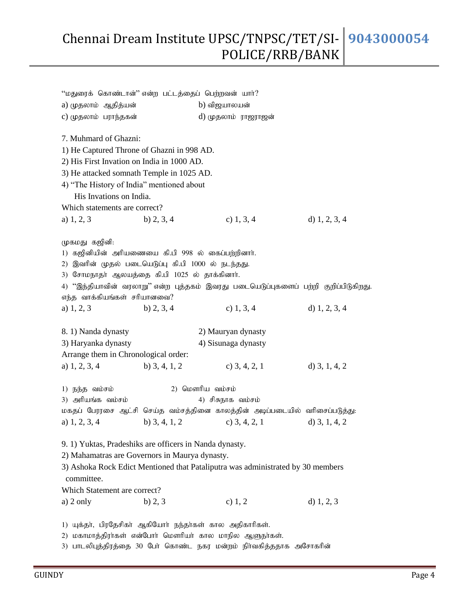| "மதுரைக் கொண்டான்" என்ற பட்டத்தைப் பெற்றவன் யார்?       |                 |                                                                                     |                 |
|---------------------------------------------------------|-----------------|-------------------------------------------------------------------------------------|-----------------|
| a) முதலாம் ஆதித்யன்                                     |                 | b) விஜயாலயன்                                                                        |                 |
| c) முதலாம் பராந்தகன்                                    |                 | d) முதலாம் ராஜராஜன்                                                                 |                 |
| 7. Muhmard of Ghazni:                                   |                 |                                                                                     |                 |
| 1) He Captured Throne of Ghazni in 998 AD.              |                 |                                                                                     |                 |
| 2) His First Invation on India in 1000 AD.              |                 |                                                                                     |                 |
| 3) He attacked somnath Temple in 1025 AD.               |                 |                                                                                     |                 |
| 4) "The History of India" mentioned about               |                 |                                                                                     |                 |
| His Invations on India.                                 |                 |                                                                                     |                 |
| Which statements are correct?                           |                 |                                                                                     |                 |
| a) $1, 2, 3$                                            | b) $2, 3, 4$    | c) $1, 3, 4$                                                                        | d) $1, 2, 3, 4$ |
| முகமது கஜினி:                                           |                 |                                                                                     |                 |
| 1) கஜினியின் அரியணையை கி.பி 998 ல் கைப்பற்றினார்.       |                 |                                                                                     |                 |
| 2) இவரின் முதல் படையெடுப்பு கி.பி 1000 ல் நடந்தது.      |                 |                                                                                     |                 |
| 3) சோமநாதா் ஆலயத்தை கி.பி 1025 ல் தாக்கினாா்.           |                 |                                                                                     |                 |
|                                                         |                 | 4) "இந்தியாவின் வரலாறு" என்ற புத்தகம் இவரது படையெடுப்புகளைப் பற்றி குறிப்பிடுகிறது. |                 |
| எந்த வாக்கியங்கள் சரியானவை?                             |                 |                                                                                     |                 |
| a) $1, 2, 3$                                            | b) $2, 3, 4$    | c) $1, 3, 4$                                                                        | d) $1, 2, 3, 4$ |
| 8. 1) Nanda dynasty                                     |                 | 2) Mauryan dynasty                                                                  |                 |
| 3) Haryanka dynasty                                     |                 | 4) Sisunaga dynasty                                                                 |                 |
| Arrange them in Chronological order:                    |                 |                                                                                     |                 |
| a) $1, 2, 3, 4$                                         | b) $3, 4, 1, 2$ | c) $3, 4, 2, 1$                                                                     | d) $3, 1, 4, 2$ |
| 1) நந்த வம்சம்                                          | 2) மௌரிய வம்சம் |                                                                                     |                 |
| 3) அரியங்க வம்சம்                                       |                 | 4) சிசுநாக வம்சம்                                                                   |                 |
|                                                         |                 | மகதப் பேரரசை ஆட்சி செய்த வம்சத்தினை காலத்தின் அடிப்படையில் வரிசைப்படுத்து:          |                 |
| a) $1, 2, 3, 4$                                         | b) $3, 4, 1, 2$ | c) $3, 4, 2, 1$                                                                     | d) $3, 1, 4, 2$ |
| 9. 1) Yuktas, Pradeshiks are officers in Nanda dynasty. |                 |                                                                                     |                 |
| 2) Mahamatras are Governors in Maurya dynasty.          |                 |                                                                                     |                 |
|                                                         |                 | 3) Ashoka Rock Edict Mentioned that Pataliputra was administrated by 30 members     |                 |
| committee.                                              |                 |                                                                                     |                 |
|                                                         |                 |                                                                                     |                 |
|                                                         |                 |                                                                                     |                 |
| Which Statement are correct?<br>a) $2 \text{ only}$     | b) 2, 3         | c) $1, 2$                                                                           | d) $1, 2, 3$    |

2) மகாமாத்திரா்கள் என்போா் மௌாியா் கால மாநில ஆளுநா்கள்.

3) பாடலிபுத்திரத்தை 30 போ் கொண்ட நகர மன்றம் நிா்வகித்ததாக அசோகரின்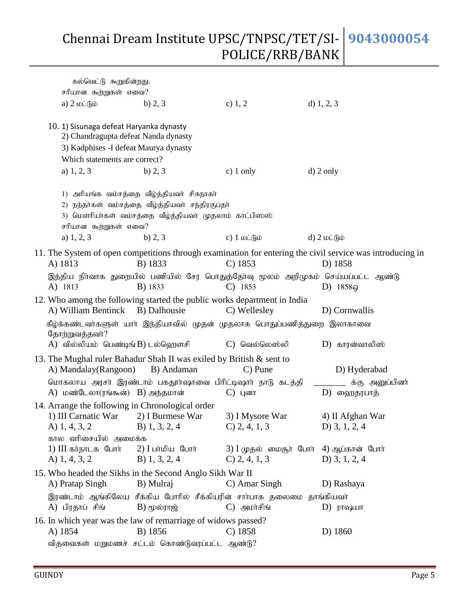| கல்வெட்டு கூறுகின்றது.                                                                                                                                                      |                                                                                                                                                         |                                                                                               |                                                                                                                      |
|-----------------------------------------------------------------------------------------------------------------------------------------------------------------------------|---------------------------------------------------------------------------------------------------------------------------------------------------------|-----------------------------------------------------------------------------------------------|----------------------------------------------------------------------------------------------------------------------|
| சரியான கூற்றுகள் எவை?                                                                                                                                                       |                                                                                                                                                         |                                                                                               |                                                                                                                      |
| a) $2 \text{ln}$ $\hat{B}$                                                                                                                                                  | b) $2, 3$                                                                                                                                               | c) $1, 2$                                                                                     | d) $1, 2, 3$                                                                                                         |
| 10. 1) Sisunaga defeat Haryanka dynasty<br>2) Chandragupta defeat Nanda dynasty<br>3) Kadphises -I defeat Maurya dynasty<br>Which statements are correct?                   |                                                                                                                                                         |                                                                                               |                                                                                                                      |
| a) $1, 2, 3$                                                                                                                                                                | b) $2, 3$                                                                                                                                               | c) $1$ only                                                                                   | $d)$ 2 only                                                                                                          |
| சரியான கூற்றுகள் எவை?                                                                                                                                                       | 1) அரியங்க வம்சத்தை வீழ்த்தியவா் சிசுநாகா்<br>2) நந்தா்கள் வம்சத்தை வீழ்த்தியவா் சந்திரகுப்தா்<br>3) மௌரியா்கள் வம்சத்தை வீழ்த்தியவா் முதலாம் காட்பிஸஸ் |                                                                                               |                                                                                                                      |
| a) $1, 2, 3$                                                                                                                                                                | b) $2, 3$                                                                                                                                               | c) $1 \text{ to}$ $60$                                                                        | $d)$ 2 ιοι βιο                                                                                                       |
| A) 1813                                                                                                                                                                     | B) 1833                                                                                                                                                 | $C)$ 1853                                                                                     | 11. The System of open competitions through examination for entering the civil service was introducing in<br>D) 1858 |
| A) 1813                                                                                                                                                                     | B) 1833                                                                                                                                                 | இந்திய நிா்வாக துறையில் பணியில் சேர பொதுத்தோ்வு மூலம் அறிமுகம் செய்யப்பட்ட ஆண்டு<br>$C)$ 1853 | D) $1858\omega$                                                                                                      |
| A) William Bentinck                                                                                                                                                         | B) Dalhousie                                                                                                                                            | 12. Who among the following started the public works department in India<br>C) Wellesley      | D) Cornwallis                                                                                                        |
| தோற்றுவத்தவர்?<br>A) வில்லியம் பெண்டிங் B) டல்ஹெளசி                                                                                                                         |                                                                                                                                                         | கீழ்க்கண்டவா்களுள் யாா் இந்தியாவில் முதன் முதலாக பொதுப்பணித்துறை இலாகாவை<br>C) வெல்லெஸ்லி     | D) காரன்வாலிஸ்                                                                                                       |
| 13. The Mughal ruler Bahadur Shah II was exiled by British & sent to<br>A) Mandalay (Rangoon)                                                                               | B) Andaman                                                                                                                                              | $C$ ) Pune                                                                                    | D) Hyderabad                                                                                                         |
| A) மண்டேலா(ரங்கூன்) B) அந்தமான்                                                                                                                                             |                                                                                                                                                         | மொகலாய அரசா் இரண்டாம் பகதூா்ஷாவை பிரிட்டிஷாா் நாடு கடத்தி<br>$C)$ цолп                        | க்கு அனுப்பினர்<br>D) ஹைதரபாத்                                                                                       |
| 14. Arrange the following in Chronological order<br>1) III Carnatic War 2) I Burmese War<br>A) $1, 4, 3, 2$<br>கால வரிசையில் அமைக்க<br>1) III கர்நாடக போர் 2) I பர்மிய போர் | B) $1, 3, 2, 4$                                                                                                                                         | 3) I Mysore War<br>$C$ ) 2, 4, 1, 3<br>3) I முதல் மைசூா் போா் 4) ஆப்கான் போா்                 | 4) II Afghan War<br>D) $3, 1, 2, 4$                                                                                  |
| A) $1, 4, 3, 2$                                                                                                                                                             | B) 1, 3, 2, 4                                                                                                                                           | $C$ ) 2, 4, 1, 3                                                                              | D) $3, 1, 2, 4$                                                                                                      |
| 15. Who headed the Sikhs in the Second Anglo Sikh War II<br>A) Pratap Singh                                                                                                 | B) Mulraj                                                                                                                                               | C) Amar Singh                                                                                 | D) Rashaya                                                                                                           |
| A) பிரதாப் சிங்                                                                                                                                                             | $B)$ ( $\mu$ ல்ராஜ்                                                                                                                                     | இரண்டாம் ஆங்கிலேய சீக்கிய போரில் சீக்கியரின் சார்பாக தலைமை தாங்கியவர்<br>$C)$ அமாசிங்         | $D)$ ராஷயா                                                                                                           |
| 16. In which year was the law of remarriage of widows passed?<br>A) 1854                                                                                                    | B) 1856<br>விதவைகள் மறுமணச் சட்டம் கொண்டுவரப்பட்ட ஆண்டு?                                                                                                | $C)$ 1858                                                                                     | D) 1860                                                                                                              |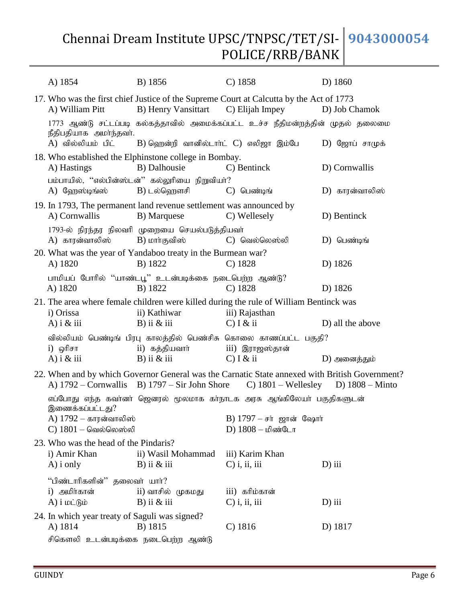| A) 1854                                                            | B) 1856                                                                            | $C)$ 1858                                                                                                                                                                           | D) 1860          |
|--------------------------------------------------------------------|------------------------------------------------------------------------------------|-------------------------------------------------------------------------------------------------------------------------------------------------------------------------------------|------------------|
| A) William Pitt                                                    | B) Henry Vansittart                                                                | 17. Who was the first chief Justice of the Supreme Court at Calcutta by the Act of 1773<br>C) Elijah Impey                                                                          | D) Job Chamok    |
| நீதிபதியாக அமா்ந்தவா்.<br>A) வில்லியம் பிட்                        | B) ஹென்றி வானில்டார்ட் C) எலிஜா இம்பே                                              | 1773 ஆண்டு சட்டப்படி கல்கத்தாவில் அமைக்கப்பட்ட உச்ச நீதிமன்றத்தின் முதல் தலைமை                                                                                                      | $D)$ ஜோப் சாமுக் |
|                                                                    |                                                                                    |                                                                                                                                                                                     |                  |
| A) Hastings                                                        | 18. Who established the Elphinstone college in Bombay.<br>B) Dalhousie             | C) Bentinck                                                                                                                                                                         | D) Cornwallis    |
| $A)$ வேறஸ்டிங்ஸ்                                                   | பம்பாயில், ''எல்பின்ஸ்டன்'' கல்லுரியை நிறுவியர்?<br>B) டல்ஹௌசி                     | $C)$ பெண்டிங்                                                                                                                                                                       | D) காரன்வாலிஸ்   |
| A) Cornwallis                                                      | 19. In 1793, The permanent land revenue settlement was announced by<br>B) Marquese | C) Wellesely                                                                                                                                                                        | D) Bentinck      |
| A) காரன்வாலிஸ்                                                     | 1793-ல் நிரந்தர நிலவரி முறையை செயல்படுத்தியவர்<br>B) மார்குவிஸ்                    | C) வெல்லெஸ்லி                                                                                                                                                                       | $D)$ பெண்டிங்    |
| A) 1820                                                            | 20. What was the year of Yandaboo treaty in the Burmean war?<br>B) 1822            | $C)$ 1828                                                                                                                                                                           | D) 1826          |
| A) 1820                                                            | பாமியப் போரில் ''யாண்டபூ'' உடன்படிக்கை நடைபெற்ற ஆண்டு?<br>B) 1822                  | $C)$ 1828                                                                                                                                                                           | D) 1826          |
|                                                                    |                                                                                    | 21. The area where female children were killed during the rule of William Bentinck was                                                                                              |                  |
| i) Orissa<br>A) $i \&$ iii                                         | ii) Kathiwar<br>$B)$ ii $&$ iii                                                    | iii) Rajasthan<br>$C)$ I & ii                                                                                                                                                       | D) all the above |
|                                                                    |                                                                                    | வில்லியம் பெண்டிங் பிரபு காலத்தில் பெண்சிசு கொலை காணப்பட்ட பகுதி?                                                                                                                   |                  |
| i) ஒரிசா<br>A) $i \& \text{iii}$                                   | ii) கத்தியவார்<br>$B)$ ii $\&$ iii                                                 | iii) இராஜஸ்தான்<br>$C)$ I & ii                                                                                                                                                      | D) அனைத்தும்     |
|                                                                    |                                                                                    | 22. When and by which Governor General was the Carnatic State annexed with British Government?<br>A) 1792 – Cornwallis B) 1797 – Sir John Shore C) 1801 – Wellesley D) 1808 – Minto |                  |
|                                                                    |                                                                                    | எப்போது எந்த கவா்னா் ஜெனரல் மூலமாக கா்நாடக அரசு ஆங்கிலேயா் பகுதிகளுடன்                                                                                                              |                  |
| இணைக்கப்பட்டது?<br>A) 1792 – காரன்வாலிஸ்<br>$C)$ 1801 – வெல்லெஸ்லி |                                                                                    | $B)$ 1797 – சர் ஜான் ஷோர்<br>D) 1808 – மிண்டோ                                                                                                                                       |                  |
| 23. Who was the head of the Pindaris?                              |                                                                                    |                                                                                                                                                                                     |                  |
| i) Amir Khan                                                       | ii) Wasil Mohammad                                                                 | iii) Karim Khan                                                                                                                                                                     |                  |
| $A)$ i only                                                        | $B)$ ii $\&$ iii                                                                   | $C$ ) i, ii, iii                                                                                                                                                                    | $D)$ iii         |
| "பிண்டாரிகளின்" தலைவர் யார்?                                       |                                                                                    |                                                                                                                                                                                     |                  |
| i) அமிர்கான்<br>$A)$ $i$ $\omega$ $\dot{\theta}$ $\dot{\omega}$    | ii) வாசில் முகமது<br>$B)$ ii $&$ iii                                               | iii) கரிம்கான்<br>$C$ ) i, ii, iii                                                                                                                                                  | $D)$ iii         |
| 24. In which year treaty of Saguli was signed?                     |                                                                                    |                                                                                                                                                                                     |                  |
| A) 1814                                                            | B) 1815                                                                            | $C)$ 1816                                                                                                                                                                           | D) 1817          |
| சிகௌலி உடன்படிக்கை நடைபெற்ற ஆண்டு                                  |                                                                                    |                                                                                                                                                                                     |                  |

GUINDY Page 6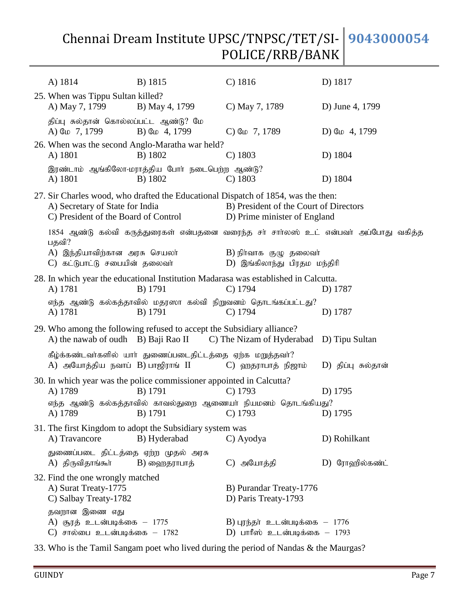| A) 1814                                                                           | B) 1815                                                                         | $C)$ 1816                                                                                                                                                   | D) 1817                                                                            |
|-----------------------------------------------------------------------------------|---------------------------------------------------------------------------------|-------------------------------------------------------------------------------------------------------------------------------------------------------------|------------------------------------------------------------------------------------|
| 25. When was Tippu Sultan killed?<br>A) May 7, 1799                               | B) May 4, 1799                                                                  | C) May 7, 1789                                                                                                                                              | D) June 4, 1799                                                                    |
| திப்பு சுல்தான் கொல்லப்பட்ட ஆண்டு? மே<br>A) G <sub>10</sub> 7, 1799               | B) G <sub>ID</sub> 4, 1799                                                      | $C$ ) G <sub>ID</sub> 7, 1789                                                                                                                               | D) G <sub>ID</sub> 4, 1799                                                         |
| A) 1801                                                                           | 26. When was the second Anglo-Maratha war held?<br>B) 1802                      | $C)$ 1803                                                                                                                                                   | D) 1804                                                                            |
| A) 1801                                                                           | இரண்டாம் ஆங்கிலோ-மராத்திய போர் நடைபெற்ற ஆண்டு?<br>B) 1802                       | $C)$ 1803                                                                                                                                                   | D) 1804                                                                            |
| A) Secretary of State for India<br>C) President of the Board of Control           |                                                                                 | 27. Sir Charles wood, who drafted the Educational Dispatch of 1854, was the then:<br>B) President of the Court of Directors<br>D) Prime minister of England |                                                                                    |
| பதவி?                                                                             |                                                                                 |                                                                                                                                                             | 1854 ஆண்டு கல்வி கருத்துரைகள் என்பதனை வரைந்த சா் சாாலஸ் உட் என்பவா் அப்போது வகித்த |
| A) இந்தியாவிற்கான அரசு செயலா்<br>C) கட்டுபாட்டு சபையின் தலைவர்                    |                                                                                 | $\mathbf{B}$ ) நிர்வாக குழு தலைவர்<br>D) இங்கிலாந்து பிரதம மந்திரி                                                                                          |                                                                                    |
| A) 1781                                                                           | B) 1791                                                                         | 28. In which year the educational Institution Madarasa was established in Calcutta.<br>$C)$ 1794                                                            | D) 1787                                                                            |
| A) 1781                                                                           | B) 1791                                                                         | எந்த ஆண்டு கல்கத்தாவில் மதரஸா கல்வி நிறுவனம் தொடங்கப்பட்டது?<br>$C)$ 1794                                                                                   | D) 1787                                                                            |
| A) the nawab of oudh B) Baji Rao II                                               | 29. Who among the following refused to accept the Subsidiary alliance?          | C) The Nizam of Hyderabad D) Tipu Sultan                                                                                                                    |                                                                                    |
| A) அயோத்திய நவாப் $B$ ) பாஜிராங் II                                               | கீழ்க்கண்டவர்களில் யார் துணைப்படைதிட்டத்தை ஏற்க மறுத்தவர்?                      | $C$ ) ஹதராபாத் நிஜாம்                                                                                                                                       | D) திப்பு சுல்தான்                                                                 |
| A) 1789                                                                           | 30. In which year was the police commissioner appointed in Calcutta?<br>B) 1791 | $C)$ 1793                                                                                                                                                   | D) 1795                                                                            |
| A) 1789                                                                           |                                                                                 | எந்த ஆண்டு கல்கத்தாவில் காவல்துறை ஆணையா் நியமனம் தொடங்கியது?<br>B) 1791 C) 1793                                                                             | D) 1795                                                                            |
| A) Travancore                                                                     | 31. The first Kingdom to adopt the Subsidiary system was<br>B) Hyderabad        | C) Ayodya                                                                                                                                                   | D) Rohilkant                                                                       |
| துணைப்படை திட்டத்தை ஏற்ற முதல் அரசு<br>A) திருவிதாங்கூர்                          | $B)$ ஹைதராபாத்                                                                  | C) அயோத்தி                                                                                                                                                  | D) ரோஹில்கண்ட்                                                                     |
| 32. Find the one wrongly matched<br>A) Surat Treaty-1775<br>C) Salbay Treaty-1782 |                                                                                 | B) Purandar Treaty-1776<br>D) Paris Treaty-1793                                                                                                             |                                                                                    |
| தவறான இணை எது<br>A) சூரத் உடன்படிக்கை – 1775<br>$C$ ) சால்பை உடன்படிக்கை – 1782   |                                                                                 | $B$ ) புரந்தர் உடன்படிக்கை $-1776$<br>D) பாரீஸ் உடன்படிக்கை $-1793$                                                                                         |                                                                                    |

33. Who is the Tamil Sangam poet who lived during the period of Nandas & the Maurgas?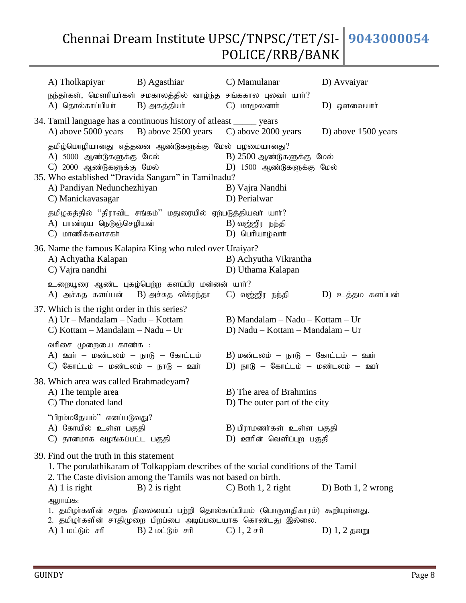| A) Tholkapiyar                                                                                                       | B) Agasthiar<br>நந்தர்கள், மௌரியர்கள் சமகாலத்தில் வாழ்ந்த சங்ககால புலவர் யார்?                           | C) Mamulanar                                                                                                                              | D) Avvaiyar          |
|----------------------------------------------------------------------------------------------------------------------|----------------------------------------------------------------------------------------------------------|-------------------------------------------------------------------------------------------------------------------------------------------|----------------------|
| A) தொல்காப்பியா்                                                                                                     | B) அகத்தியா்                                                                                             | $C$ ) <b><i>LDT</i></b> ( $\mu$ долотпит                                                                                                  | $D)$ ஒளவையார்        |
| A) above 5000 years B) above 2500 years                                                                              | 34. Tamil language has a continuous history of atleast _______ years                                     | C) above 2000 years                                                                                                                       | D) above 1500 years  |
| A) 5000 ஆண்டுகளுக்கு மேல்<br>C) 2000 ஆண்டுகளுக்கு மேல்<br>A) Pandiyan Nedunchezhiyan<br>C) Manickavasagar            | தமிழ்மொழியானது எத்தனை ஆண்டுகளுக்கு மேல் பழமையானது?<br>35. Who established "Dravida Sangam" in Tamilnadu? | $B)$ 2500 ஆண்டுகளுக்கு மேல்<br>$D)$ 1500 ஆண்டுகளுக்கு மேல்<br>B) Vajra Nandhi<br>D) Perialwar                                             |                      |
| A) பாண்டிய நெடுஞ்செழியன்<br>$C$ ) மாணிக்கவாசகர்                                                                      | தமிழகத்தில் ''திராவிட சங்கம்'' மதுரையில் ஏற்படுத்தியவா் யாா்?                                            | $B$ ) வஜ்ஜிர நந்தி<br>$D)$ பெரியாழ்வார்                                                                                                   |                      |
| A) Achyatha Kalapan<br>C) Vajra nandhi                                                                               | 36. Name the famous Kalapira King who ruled over Uraiyar?                                                | B) Achyutha Vikrantha<br>D) Uthama Kalapan                                                                                                |                      |
| A) அச்சுத களப்பன் B) அச்சுத விக்ரந்தா                                                                                | உறையூரை ஆண்ட புகழ்பெற்ற களப்பிர மன்னன் யார்?                                                             | C) வஜ்ஜிர நந்தி                                                                                                                           | D) உத்தம களப்பன்     |
| 37. Which is the right order in this series?<br>A) Ur - Mandalam - Nadu - Kottam<br>C) Kottam – Mandalam – Nadu – Ur |                                                                                                          | B) Mandalam - Nadu - Kottam - Ur<br>D) Nadu – Kottam – Mandalam – Ur                                                                      |                      |
| வரிசை முறையை காண்க :<br>A) ஊர் – மண்டலம் – நாடு – கோட்டம்<br>$C$ ) கோட்டம் – மண்டலம் – நாடு – ஊர்                    |                                                                                                          | B) மண்டலம் – நாடு – கோட்டம் – ஊர்<br>$D)$ நாடு – கோட்டம் – மண்டலம் – ஊர்                                                                  |                      |
| 38. Which area was called Brahmadeyam?<br>A) The temple area<br>C) The donated land                                  |                                                                                                          | B) The area of Brahmins<br>D) The outer part of the city                                                                                  |                      |
| "பிரம்மதேயம்" எனப்படுவது?<br>A) கோயில் உள்ள பகுதி<br>C) தானமாக வழங்கப்பட்ட பகுதி                                     |                                                                                                          | B) பிராமணர்கள் உள்ள பகுதி<br>D) ஊரின் வெளிப்புற பகுதி                                                                                     |                      |
| 39. Find out the truth in this statement<br>$A)$ 1 is right                                                          | 2. The Caste division among the Tamils was not based on birth.<br>$B$ ) 2 is right                       | 1. The porulathikaram of Tolkappiam describes of the social conditions of the Tamil<br>$C$ ) Both 1, 2 right                              | D) Both $1, 2$ wrong |
| ஆராய்க:<br>A) 1 மட்டும் சரி                                                                                          | $B)$ 2 மட்டும் சரி                                                                                       | 1. தமிழா்களின் சமூக நிலையைப் பற்றி தொல்காப்பியம் (பொருளதிகாரம்) கூறியுள்ளது.<br>2. தமிழாகளின் சாதிமுறை பிறப்பை அடிப்படையாக கொண்டது இல்லை. | $D)$ 1, 2 தவறு       |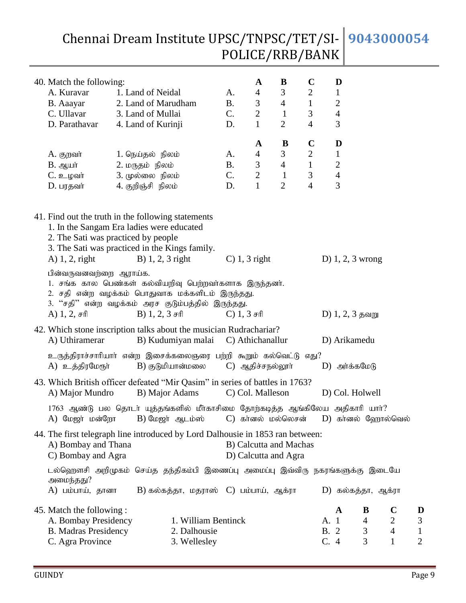| Chennai Dream Institute UPSC/TNPSC/TET/SI- 9043000054 |  |
|-------------------------------------------------------|--|
| POLICE/RRB/BANK                                       |  |

| 40. Match the following:                                                                                                                                                                                        |                    |                                          |           | A                                                     | B              | $\mathbf C$    |             | D              |                    |                               |                  |
|-----------------------------------------------------------------------------------------------------------------------------------------------------------------------------------------------------------------|--------------------|------------------------------------------|-----------|-------------------------------------------------------|----------------|----------------|-------------|----------------|--------------------|-------------------------------|------------------|
| A. Kuravar                                                                                                                                                                                                      | 1. Land of Neidal  |                                          | A.        | $\overline{4}$                                        | 3              | $\overline{2}$ |             | $\mathbf{1}$   |                    |                               |                  |
| B. Aaayar                                                                                                                                                                                                       |                    | 2. Land of Marudham                      | <b>B.</b> | $\mathfrak{Z}$                                        | $\overline{4}$ | $\mathbf{1}$   |             | $\overline{c}$ |                    |                               |                  |
| C. Ullavar                                                                                                                                                                                                      | 3. Land of Mullai  |                                          | C.        | $\sqrt{2}$                                            | $\mathbf{1}$   | 3              |             | $\overline{4}$ |                    |                               |                  |
| D. Parathavar                                                                                                                                                                                                   | 4. Land of Kurinji |                                          | D.        | $\mathbf{1}$                                          | $\overline{2}$ | $\overline{4}$ |             | 3              |                    |                               |                  |
|                                                                                                                                                                                                                 |                    |                                          |           | A                                                     | B              | $\mathbf C$    |             | D              |                    |                               |                  |
| A. குறவர்                                                                                                                                                                                                       | 1. நெய்தல் நிலம்   |                                          | A.        | $\overline{4}$                                        | 3              | $\overline{2}$ |             | $\mathbf{1}$   |                    |                               |                  |
| $B.$ ஆயா்                                                                                                                                                                                                       | 2. மருதம் நிலம்    |                                          | <b>B.</b> | $\mathfrak{Z}$                                        | $\overline{4}$ | $\mathbf{1}$   |             | $\overline{c}$ |                    |                               |                  |
| $C. \n\triangleq \text{L}$ வர்                                                                                                                                                                                  | 3. முல்லை நிலம்    |                                          | C.        | $\overline{2}$                                        | $\mathbf{1}$   | 3              |             | $\overline{4}$ |                    |                               |                  |
| D. பரதவர்                                                                                                                                                                                                       | 4. குறிஞ்சி நிலம்  |                                          | D.        | $\mathbf{1}$                                          | $\overline{2}$ | $\overline{4}$ |             | 3              |                    |                               |                  |
| 41. Find out the truth in the following statements<br>1. In the Sangam Era ladies were educated<br>2. The Sati was practiced by people<br>3. The Sati was practiced in the Kings family.<br>$A)$ 1, 2, right    |                    | B) $1, 2, 3$ right                       |           | $C$ ) 1, 3 right                                      |                |                |             |                | D) $1, 2, 3$ wrong |                               |                  |
| பின்வருவனவற்றை ஆராய்க.<br>1. சங்க கால பெண்கள் கல்வியறிவு பெற்றவர்களாக இருந்தனர்.<br>2. சதி என்ற வழக்கம் பொதுவாக மக்களிடம் இருந்தது.<br>3. ''சதி'' என்ற வழக்கம் அரச குடும்பத்தில் இருந்தது.<br>A) $1, 2, \pi$ fl |                    | B) $1, 2, 3$ $\sigma$ ffl                |           | $C)$ 1, 3 சரி                                         |                |                |             |                | D) $1, 2, 3$ தவறு  |                               |                  |
| 42. Which stone inscription talks about the musician Rudrachariar?<br>A) Uthiramerar                                                                                                                            |                    | B) Kudumiyan malai                       |           | C) Athichanallur                                      |                |                |             |                | D) Arikamedu       |                               |                  |
| உருத்திராச்சாரியார் என்ற இசைக்கலைஞரை பற்றி கூறும் கல்வெட்டு எது?<br>A) உத்திரமேரூர்                                                                                                                             |                    | B) குடுமியான்மலை                         |           | C) ஆதிச்சநல்லூர்                                      |                |                |             |                | $D)$ அர்க்கமேடு    |                               |                  |
| 43. Which British officer defeated "Mir Qasim" in series of battles in 1763?<br>A) Major Mundro                                                                                                                 |                    | B) Major Adams                           |           | C) Col. Malleson                                      |                |                |             |                | D) Col. Holwell    |                               |                  |
| 1763 ஆண்டு பல தொடர் யுத்தங்களில் மீர்காசிமை தோற்கடித்த ஆங்கிலேய அதிகாரி யார்?<br>A) மேஜர் மன்றோ                                                                                                                 |                    | $B)$ மேஜர் ஆடம்ஸ்                        |           | C) கர்னல் மல்லெசன்                                    |                |                |             |                |                    | D) கா்னல் ஹோல்வெல்            |                  |
| 44. The first telegraph line introduced by Lord Dalhousie in 1853 ran between:<br>A) Bombay and Thana<br>C) Bombay and Agra                                                                                     |                    |                                          |           | <b>B)</b> Calcutta and Machas<br>D) Calcutta and Agra |                |                |             |                |                    |                               |                  |
| டல்ஹெளசி அறிமுகம் செய்த தந்திகம்பி இணைப்பு அமைப்பு இவ்விரு நகரங்களுக்கு இடையே<br>அமைந்தது?<br>A) பம்பாய், தானா                                                                                                  |                    | B) கல்கத்தா, மதராஸ் $C$ ) பம்பாய், ஆக்ரா |           |                                                       |                |                |             |                | D) கல்கத்தா, ஆக்ரா |                               |                  |
|                                                                                                                                                                                                                 |                    |                                          |           |                                                       |                |                |             |                |                    |                               |                  |
| 45. Match the following :                                                                                                                                                                                       |                    | 1. William Bentinck                      |           |                                                       |                |                | A. 1        | $\mathbf A$    | B                  | $\mathbf C$<br>$\overline{2}$ | D                |
| A. Bombay Presidency<br><b>B.</b> Madras Presidency                                                                                                                                                             |                    | 2. Dalhousie                             |           |                                                       |                |                | <b>B.</b> 2 |                | 4<br>3             | $\overline{4}$                | 3<br>$\mathbf 1$ |
| C. Agra Province                                                                                                                                                                                                |                    | 3. Wellesley                             |           |                                                       |                |                | C. 4        |                | 3                  | $\mathbf{1}$                  | $\overline{2}$   |
|                                                                                                                                                                                                                 |                    |                                          |           |                                                       |                |                |             |                |                    |                               |                  |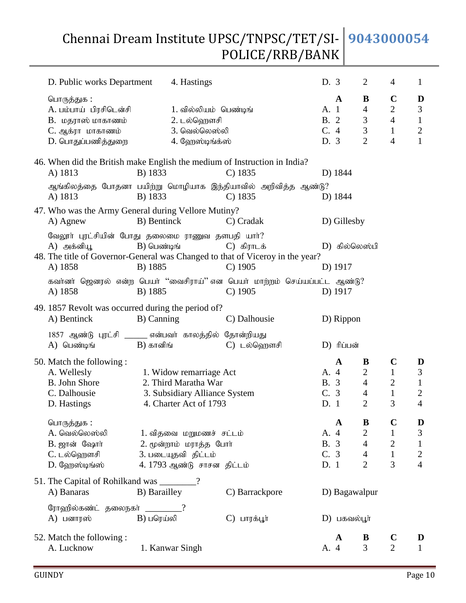| D. Public works Department                                                                                                                                |                          | 4. Hastings                                                                                                |                            | D. 3                                |                | $\overline{2}$                                                            | 4                                                                                 | $\mathbf{1}$                                                          |
|-----------------------------------------------------------------------------------------------------------------------------------------------------------|--------------------------|------------------------------------------------------------------------------------------------------------|----------------------------|-------------------------------------|----------------|---------------------------------------------------------------------------|-----------------------------------------------------------------------------------|-----------------------------------------------------------------------|
| பொருத்துக :<br>A. பம்பாய் பிரசிடென்சி<br>B. மதராஸ் மாகாணம்<br>C. ஆக்ரா மாகாணம்<br>D. பொதுப்பணித்துறை                                                      |                          | 1. வில்லியம் பெண்டிங்<br>2. டல்ஹௌசி<br>3. வெல்லெஸ்லி<br>4. ஹேஸ்டிங்க்ஸ்                                    |                            | A. 1<br><b>B.</b> 2<br>C.4<br>D. 3  | $\mathbf A$    | B<br>$\overline{4}$<br>$\mathfrak 3$<br>3<br>$\overline{2}$               | $\mathbf C$<br>$\overline{2}$<br>$\overline{4}$<br>$\mathbf{1}$<br>$\overline{4}$ | D<br>$\mathfrak{Z}$<br>$\mathbf{1}$<br>$\sqrt{2}$<br>$\mathbf{1}$     |
| 46. When did the British make English the medium of Instruction in India?<br>A) 1813                                                                      | B) 1833                  |                                                                                                            | $C$ ) 1835                 |                                     | D) 1844        |                                                                           |                                                                                   |                                                                       |
| ஆங்கிலத்தை போதனா பயிற்று மொழியாக இந்தியாவில் அறிவித்த ஆண்டு?<br>A) 1813                                                                                   | B) 1833                  |                                                                                                            | $C)$ 1835                  |                                     | D) 1844        |                                                                           |                                                                                   |                                                                       |
| 47. Who was the Army General during Vellore Mutiny?<br>A) Agnew                                                                                           | B) Bentinck              |                                                                                                            | C) Cradak                  |                                     | D) Gillesby    |                                                                           |                                                                                   |                                                                       |
| வேலூர் புரட்சியின் போது தலைமை ராணுவ தளபதி யார்?<br>A) அக்னியூ<br>48. The title of Governor-General was Changed to that of Viceroy in the year?<br>A) 1858 | $B)$ பெண்டிங்<br>B) 1885 |                                                                                                            | $C$ ) கிராடக்<br>$C)$ 1905 |                                     | D) 1917        | D) கில்லெஸ்பி                                                             |                                                                                   |                                                                       |
| கவர்னர் ஜெனரல் என்ற பெயர் ''வைசிராய்'' என பெயர் மாற்றம் செய்யப்பட்ட ஆண்டு?<br>A) 1858                                                                     | B) 1885                  |                                                                                                            | $C)$ 1905                  |                                     | D) 1917        |                                                                           |                                                                                   |                                                                       |
| 49. 1857 Revolt was occurred during the period of?<br>A) Bentinck                                                                                         | B) Canning               |                                                                                                            | C) Dalhousie               |                                     | D) Rippon      |                                                                           |                                                                                   |                                                                       |
| 1857 ஆண்டு புரட்சி ______ என்பவர் காலத்தில் தோன்றியது<br>A) பெண்டிங்                                                                                      | $B)$ கானிங்              |                                                                                                            | C) டல்ஹௌசி                 |                                     | D) ரிப்பன்     |                                                                           |                                                                                   |                                                                       |
| 50. Match the following:<br>A. Wellesly<br><b>B.</b> John Shore<br>C. Dalhousie<br>D. Hastings                                                            |                          | 1. Widow remarriage Act<br>2. Third Maratha War<br>3. Subsidiary Alliance System<br>4. Charter Act of 1793 |                            | A. 4<br><b>B.</b> 3<br>C. 3<br>D. 1 | $\mathbf A$    | B<br>$\mathbf{2}$<br>$\overline{4}$<br>$\overline{4}$<br>$\overline{2}$   | $\mathbf C$<br>$\mathbf{1}$<br>$\mathbf{2}$<br>$\mathbf{1}$<br>3                  | D<br>$\mathfrak{Z}$<br>$\mathbf{1}$<br>$\mathbf{2}$<br>$\overline{4}$ |
| பொருத்துக:<br>A. வெல்லெஸ்லி<br>B. ஜான் ஷோர்<br>C. டல்ஹௌசி<br>D. ஹேஸ்டிங்ஸ்                                                                                |                          | 1. விதவை மறுமணச் சட்டம்<br>2. மூன்றாம் மராத்த போர்<br>3. படையுதவி திட்டம்<br>4.1793 ஆண்டு சாசன திட்டம்     |                            | A. 4<br><b>B.</b> 3<br>C.3<br>D.1   | $\mathbf A$    | B<br>$\overline{2}$<br>$\overline{4}$<br>$\overline{4}$<br>$\overline{2}$ | $\mathbf C$<br>$\mathbf{1}$<br>$\overline{2}$<br>$\mathbf{1}$<br>3                | D<br>3<br>$\mathbf{1}$<br>$\sqrt{2}$<br>$\overline{4}$                |
| 51. The Capital of Rohilkand was _______?<br>A) Banaras                                                                                                   | B) Barailley             |                                                                                                            | C) Barrackpore             |                                     |                | D) Bagawalpur                                                             |                                                                                   |                                                                       |
| ரோஹில்கண்ட் தலைநகர் ________?<br>A) பனாரஸ்                                                                                                                | $B)$ பரெய்லி             |                                                                                                            | $C)$ பாரக்பூர்             |                                     | $D)$ பகவல்பூர் |                                                                           |                                                                                   |                                                                       |
| 52. Match the following:<br>A. Lucknow                                                                                                                    | 1. Kanwar Singh          |                                                                                                            |                            | A. 4                                | A              | B<br>$\overline{3}$                                                       | $\mathbf C$<br>$\overline{2}$                                                     | D<br>$\mathbf{1}$                                                     |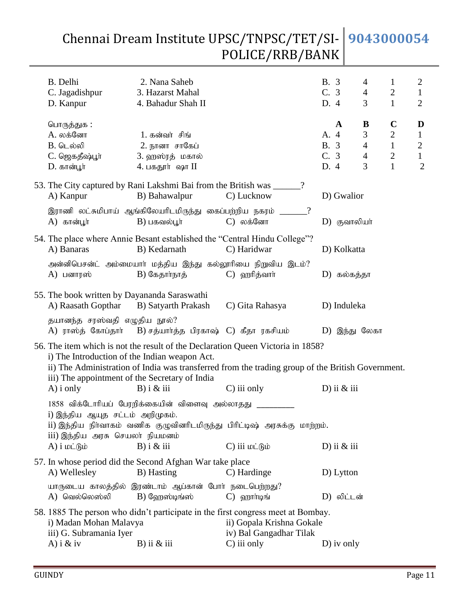| B. Delhi<br>C. Jagadishpur<br>D. Kanpur                                                                             | 2. Nana Saheb<br>3. Hazarst Mahal<br>4. Bahadur Shah II                              |                                                                                                                                                                                                     | B. 3<br>C.3<br>D. 4          |                | 4<br>$\overline{4}$<br>3                        | $\mathbf{1}$<br>$\overline{c}$<br>$\mathbf{1}$                                    | 2<br>$\mathbf{1}$<br>$\overline{2}$                                 |
|---------------------------------------------------------------------------------------------------------------------|--------------------------------------------------------------------------------------|-----------------------------------------------------------------------------------------------------------------------------------------------------------------------------------------------------|------------------------------|----------------|-------------------------------------------------|-----------------------------------------------------------------------------------|---------------------------------------------------------------------|
| பொருத்துக :<br>A. லக்னோ<br><b>B.</b> டெல்லி<br>C. ஜெகதீஷ்பூர்<br>D. கான்பூர்                                        | 1. கன்வர் சிங்<br>2. நானா சாகேப்<br>3. ஹஸ்ரத் மகால்<br>4. பகதூர் ஷா II               |                                                                                                                                                                                                     | A. 4<br>B. 3<br>C. 3<br>D. 4 | A              | B<br>3<br>$\overline{4}$<br>$\overline{4}$<br>3 | $\mathbf C$<br>$\boldsymbol{2}$<br>$\mathbf{1}$<br>$\overline{2}$<br>$\mathbf{1}$ | D<br>$\mathbf{1}$<br>$\mathbf{2}$<br>$\mathbf{1}$<br>$\overline{2}$ |
| A) Kanpur                                                                                                           | 53. The City captured by Rani Lakshmi Bai from the British was ____<br>B) Bahawalpur | ?<br>C) Lucknow                                                                                                                                                                                     |                              | D) Gwalior     |                                                 |                                                                                   |                                                                     |
| $A)$ கான்பூர்                                                                                                       | இராணி லட்சுமிபாய் ஆங்கிலேயரிடமிருந்து கைப்பற்றிய நகரம்<br>$B)$ பகவல்பூர்             | $\cdot$<br>C) லக்னோ                                                                                                                                                                                 |                              | $D)$ குவாலியா் |                                                 |                                                                                   |                                                                     |
| A) Banaras                                                                                                          | B) Kedarnath                                                                         | 54. The place where Annie Besant established the "Central Hindu College"?<br>C) Haridwar                                                                                                            |                              | D) Kolkatta    |                                                 |                                                                                   |                                                                     |
| A) பனாரஸ்                                                                                                           | B) கேதார்நாத்                                                                        | அன்னிபெசன்ட் அம்மையாா் மத்திய இந்து கல்லூாியை நிறுவிய இடம்?<br>C) ஹரித்வார்                                                                                                                         |                              | D) கல்கத்தா    |                                                 |                                                                                   |                                                                     |
| 55. The book written by Dayananda Saraswathi<br>A) Raasath Gopthar                                                  | B) Satyarth Prakash                                                                  | C) Gita Rahasya                                                                                                                                                                                     |                              | D) Induleka    |                                                 |                                                                                   |                                                                     |
| தயானந்த சரஸ்வதி எழுதிய நூல்?<br>A) ராஸ்த் கோப்தார்                                                                  | B) சத்யார்த்த பிரகாஷ்  C)  கீதா  ரகசியம்                                             |                                                                                                                                                                                                     |                              | D) இந்து லேகா  |                                                 |                                                                                   |                                                                     |
| i) The Introduction of the Indian weapon Act.<br>iii) The appointment of the Secretary of India<br>$A)$ i only      | $B)$ i & iii                                                                         | 56. The item which is not the result of the Declaration Queen Victoria in 1858?<br>ii) The Administration of India was transferred from the trading group of the British Government.<br>C) iii only |                              | D) ii $&$ iii  |                                                 |                                                                                   |                                                                     |
| i) இந்திய ஆயுத சட்டம் அறிமுகம்.<br>iii) இந்திய அரசு செயலா் நியமனம்<br>$A)$ i $\omega$ $\dot{\theta}$ $\dot{\omega}$ | 1858 விக்டோரியப் பேரறிக்கையின் விளைவு அல்லாதது<br>$B)$ i & iii                       | ii) இந்திய நிர்வாகம் வணிக குழுவினரிடமிருந்து பிரிட்டிஷ் அரசுக்கு மாற்றம்.<br>C) iii மட்டும்                                                                                                         |                              | D) ii $&$ iii  |                                                 |                                                                                   |                                                                     |
| A) Wellesley                                                                                                        | 57. In whose period did the Second Afghan War take place<br>B) Hasting               | C) Hardinge                                                                                                                                                                                         |                              | D) Lytton      |                                                 |                                                                                   |                                                                     |
| A) வெல்லெஸ்லி                                                                                                       | யாருடைய காலத்தில் இரண்டாம் ஆப்கான் போர் நடைபெற்றது?<br>$B)$ வேறஸ்டிங்ஸ்              | $C)$ on $\eta$                                                                                                                                                                                      |                              | D) லிட்டன்     |                                                 |                                                                                   |                                                                     |
| i) Madan Mohan Malavya<br>iii) G. Subramania Iyer<br>A) $i \& iv$                                                   | $B)$ ii $\&$ iii                                                                     | 58. 1885 The person who didn't participate in the first congress meet at Bombay.<br>ii) Gopala Krishna Gokale<br>iv) Bal Gangadhar Tilak<br>C) iii only                                             |                              | $D)$ iv only   |                                                 |                                                                                   |                                                                     |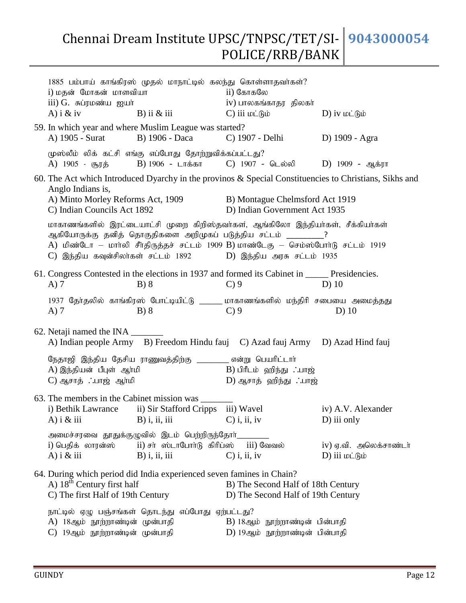| i) மதன் மோகன் மாளவியா<br>iii) G. சுப்ரமண்ய ஐயர்<br>A) i $\&$ iv    | 1885 பம்பாய் காங்கிரஸ் முதல் மாநாட்டில் கலந்து கொள்ளாதவா்கள்?<br>B) ii $\&$ iii                           | ii) கோகலே<br>iv) பாலகங்காதர திலகா்<br>$\overline{C}$ ) iii மட்டும்                                                                                                                                                                                                                                                 | D) iv wight                                                                                            |
|--------------------------------------------------------------------|-----------------------------------------------------------------------------------------------------------|--------------------------------------------------------------------------------------------------------------------------------------------------------------------------------------------------------------------------------------------------------------------------------------------------------------------|--------------------------------------------------------------------------------------------------------|
|                                                                    | 59. In which year and where Muslim League was started?                                                    | A) 1905 - Surat B) 1906 - Daca C) 1907 - Delhi D) 1909 - Agra                                                                                                                                                                                                                                                      |                                                                                                        |
|                                                                    | முஸ்லீம் லிக் கட்சி எங்கு எப்போது தோற்றுவிக்கப்பட்டது?                                                    | A) 1905 - சூரத் B) 1906 - டாக்கா C) 1907 - டெல்லி D) 1909 - ஆக்ரா                                                                                                                                                                                                                                                  |                                                                                                        |
| Anglo Indians is,<br>C) Indian Councils Act 1892                   |                                                                                                           | A) Minto Morley Reforms Act, 1909<br>B) Montague Chelmsford Act 1919<br>D) Indian Government Act 1935                                                                                                                                                                                                              | 60. The Act which Introduced Dyarchy in the provinos & Special Constituencies to Christians, Sikhs and |
|                                                                    |                                                                                                           | மாகாணங்களில் இரட்டையாட்சி முறை கிறிஸ்தவர்கள், ஆங்கிலோ இந்தியர்கள், சீக்கியர்கள்<br>ஆகியோருக்கு தனித் தொகுதிகளை அறிமுகப் படுத்திய சட்டம் __________?<br>A) மிண்டோ – மார்லி சீர்திருத்தச் சட்டம் 1909 B) மாண்டேகு – செம்ஸ்போர்டு சட்டம் 1919<br>$C$ ) இந்திய கவுன்சிலா்கள் சட்டம் 1892 $D$ ) இந்திய அரசு சட்டம் 1935 |                                                                                                        |
| $A)$ 7                                                             | B) 8                                                                                                      | 61. Congress Contested in the elections in 1937 and formed its Cabinet in ______ Presidencies.<br>$C$ ) 9                                                                                                                                                                                                          | $D)$ 10                                                                                                |
| $A)$ 7                                                             | B) 8                                                                                                      | 1937 தேர்தலில் காங்கிரஸ் போட்டியிட்டு ______ மாகாணங்களில் மந்திரி சபையை அமைத்தது<br>$C$ ) 9                                                                                                                                                                                                                        | $D)$ 10                                                                                                |
| 62. Netaji named the INA ________                                  |                                                                                                           | A) Indian people Army B) Freedom Hindu fauj C) Azad fauj Army D) Azad Hind fauj                                                                                                                                                                                                                                    |                                                                                                        |
| A) இந்தியன் பீபுள் ஆர்மி<br>C) ஆசாத் ∴பாஜ் ஆர்மி                   | நேதாஜி இந்திய தேசிய ராணுவத்திற்கு _________ என்று பெயரிட்டாா்                                             | B) பிரீடம் ஹிந்து ∴பாஜ்<br>D) ஆசாத் ஹிந்து ∴பாஜ்                                                                                                                                                                                                                                                                   |                                                                                                        |
| 63. The members in the Cabinet mission was ______<br>A) $i \&$ iii | i) Bethik Lawrance ii) Sir Stafford Cripps iii) Wavel<br>$B)$ i, ii, iii                                  | $C$ ) i, ii, iv                                                                                                                                                                                                                                                                                                    | iv) A.V. Alexander<br>D) iii only                                                                      |
| i) பெதிக் லாரன்ஸ்<br>A) i $\&$ iii                                 | அமைச்சரவை தூதுக்குழுவில் இடம் பெற்றிருந்தோா்_<br>ii) சா ஸ்டாபோா்டு கிரிப்ஸ் iii) வேவல்<br>$B)$ i, ii, iii | $C$ ) i, ii, iv                                                                                                                                                                                                                                                                                                    | iv) ஏ.வி. அலெக்சாண்டர்<br>D) iii மட்டும்                                                               |
| A) $18th$ Century first half<br>C) The first Half of 19th Century  | 64. During which period did India experienced seven famines in Chain?                                     | B) The Second Half of 18th Century<br>D) The Second Half of 19th Century                                                                                                                                                                                                                                           |                                                                                                        |
| A) 18ஆம் நூற்றாண்டின் முன்பாதி<br>C) 19ஆம் நூற்றாண்டின் முன்பாதி   | நாட்டில் ஏழு பஞ்சங்கள் தொடந்து எப்போது ஏற்பட்டது?                                                         | B) 18ஆம் நூற்றாண்டின் பின்பாதி<br>D) 19ஆம் நூற்றாண்டின் பின்பாதி                                                                                                                                                                                                                                                   |                                                                                                        |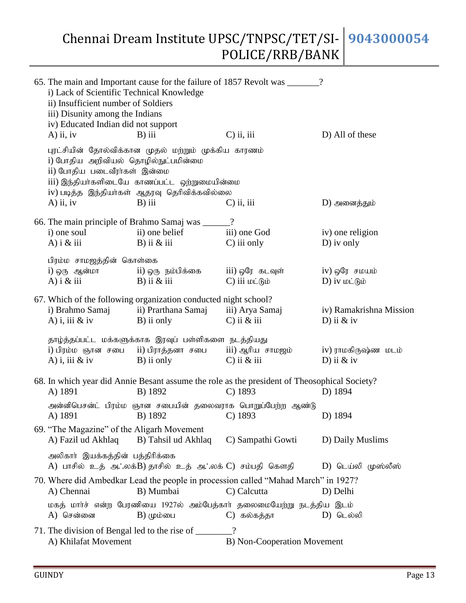| i) Lack of Scientific Technical Knowledge<br>ii) Insufficient number of Soldiers<br>iii) Disunity among the Indians<br>iv) Educated Indian did not support |                                                                                                                                                                  | 65. The main and Important cause for the failure of 1857 Revolt was ______?                               |                         |
|------------------------------------------------------------------------------------------------------------------------------------------------------------|------------------------------------------------------------------------------------------------------------------------------------------------------------------|-----------------------------------------------------------------------------------------------------------|-------------------------|
| $A)$ ii, iv                                                                                                                                                | $B)$ iii                                                                                                                                                         | $C$ ) ii, iii                                                                                             | D) All of these         |
| i) போதிய அறிவியல் தொழில்நுட்பமின்மை<br>ii) போதிய படைவீரர்கள் இன்மை<br>$A)$ ii, iv                                                                          | புரட்சியின் தோல்விக்கான முதல் மற்றும் முக்கிய காரணம்<br>iii) இந்தியா்களிடையே காணப்பட்ட ஒற்றுமையின்மை<br>iv) படித்த இந்தியா்கள் ஆதரவு தெரிவிக்கவில்லை<br>$B)$ iii | $C$ ) ii, iii                                                                                             | D) அனைத்தும்            |
|                                                                                                                                                            |                                                                                                                                                                  |                                                                                                           |                         |
|                                                                                                                                                            | 66. The main principle of Brahmo Samaj was _____?                                                                                                                |                                                                                                           |                         |
| i) one soul                                                                                                                                                | ii) one belief                                                                                                                                                   | iii) one God                                                                                              | iv) one religion        |
| A) i $\&$ iii                                                                                                                                              | B) ii $\&$ iii                                                                                                                                                   | $C$ ) iii only                                                                                            | $D)$ iv only            |
| பிரம்ம சாமஜத்தின் கொள்கை                                                                                                                                   |                                                                                                                                                                  |                                                                                                           |                         |
| i) ஒரு ஆன்மா                                                                                                                                               | ii) ஒரு நம்பிக்கை                                                                                                                                                | iii) ஒரே  கடவுள்                                                                                          | iv) ஒரே சமயம்           |
| A) $i \& \text{iii}$                                                                                                                                       | B) ii $\&$ iii                                                                                                                                                   | $C$ ) iii $\omega$ $\dot{\theta}$                                                                         | D) iv wight             |
|                                                                                                                                                            | 67. Which of the following organization conducted night school?                                                                                                  |                                                                                                           |                         |
|                                                                                                                                                            | i) Brahmo Samaj ii) Prarthana Samaj iii) Arya Samaj                                                                                                              |                                                                                                           | iv) Ramakrishna Mission |
| A) i, iii $&$ iv                                                                                                                                           | B) ii only                                                                                                                                                       | $C$ ) ii $&$ iii                                                                                          | D) ii $&$ iv            |
|                                                                                                                                                            |                                                                                                                                                                  |                                                                                                           |                         |
|                                                                                                                                                            | தாழ்த்தப்பட்ட மக்களுக்காக இரவுப் பள்ளிகளை நடத்தியது                                                                                                              |                                                                                                           |                         |
|                                                                                                                                                            | i) பிரம்ம ஞான சபை ii) பிராத்தனா சபை iii) ஆரிய சாமஜம்                                                                                                             |                                                                                                           | iv) ராமகிருஷ்ண மடம்     |
|                                                                                                                                                            | A) i, iii $\&$ iv B) ii only                                                                                                                                     | $C$ ) ii $&$ iii                                                                                          | D) ii $&$ iv            |
|                                                                                                                                                            |                                                                                                                                                                  |                                                                                                           |                         |
| A) 1891                                                                                                                                                    | B) 1892                                                                                                                                                          | 68. In which year did Annie Besant assume the role as the president of Theosophical Society?<br>$C)$ 1893 | D) 1894                 |
|                                                                                                                                                            |                                                                                                                                                                  |                                                                                                           |                         |
|                                                                                                                                                            |                                                                                                                                                                  | அன்னிபெசன்ட் பிரம்ம ஞான சபையின் தலைவராக பொறுப்பேற்ற ஆண்டு                                                 |                         |
| A) 1891                                                                                                                                                    | B) 1892 C) 1893                                                                                                                                                  |                                                                                                           | D) 1894                 |
| 69. "The Magazine" of the Aligarh Movement                                                                                                                 |                                                                                                                                                                  |                                                                                                           |                         |
| A) Fazil ud Akhlaq                                                                                                                                         | B) Tahsil ud Akhlaq                                                                                                                                              | C) Sampathi Gowti                                                                                         | D) Daily Muslims        |
| அலிகாா் இயக்கத்தின் பத்திாிக்கை                                                                                                                            |                                                                                                                                                                  |                                                                                                           |                         |
|                                                                                                                                                            | A) பாசில் உத் அ∴லக்B) தாசில் உத் அ∴லக் C) சம்பதி கௌதி                                                                                                            |                                                                                                           | D) டெய்லி முஸ்லீஸ்      |
|                                                                                                                                                            |                                                                                                                                                                  | 70. Where did Ambedkar Lead the people in procession called "Mahad March" in 1927?                        |                         |
| A) Chennai                                                                                                                                                 | B) Mumbai                                                                                                                                                        | C) Calcutta                                                                                               | D) Delhi                |
|                                                                                                                                                            |                                                                                                                                                                  |                                                                                                           |                         |
| A) சென்னை                                                                                                                                                  | $B)$ ( $\mu$ ம்பை                                                                                                                                                | மகத் மார்ச் என்ற பேரணியை 1927ல் அம்பேத்கார் தலைமையேற்று நடத்திய இடம்                                      | D) டெல்லி               |
|                                                                                                                                                            |                                                                                                                                                                  | C) கல்கத்தா                                                                                               |                         |
|                                                                                                                                                            |                                                                                                                                                                  |                                                                                                           |                         |
| A) Khilafat Movement                                                                                                                                       |                                                                                                                                                                  | B) Non-Cooperation Movement                                                                               |                         |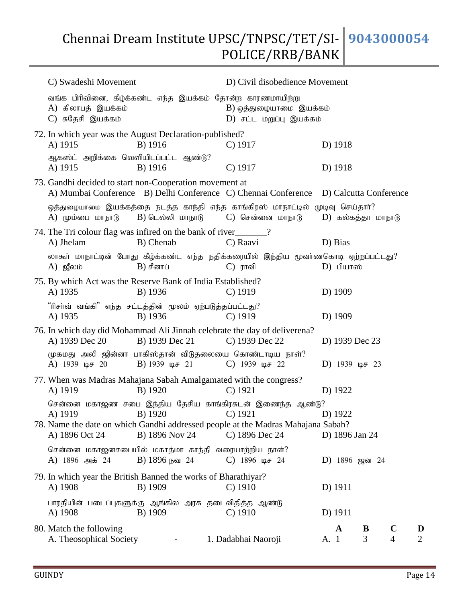| C) Swadeshi Movement                                                      |                                              |                                                                                                                                                                                   | D) Civil disobedience Movement |  |                               |                     |  |  |  |
|---------------------------------------------------------------------------|----------------------------------------------|-----------------------------------------------------------------------------------------------------------------------------------------------------------------------------------|--------------------------------|--|-------------------------------|---------------------|--|--|--|
| A) கிலாபத் இயக்கம்<br>C) சுதேசி இயக்கம்                                   |                                              | வங்க பிரிவினை, கீழ்க்கண்ட எந்த இயக்கம் தோன்ற காரணமாயிற்று<br>$B$ ) ஒத்துழையாமை இயக்கம்<br>D) சட்ட மறுப்பு இயக்கம்                                                                 |                                |  |                               |                     |  |  |  |
| 72. In which year was the August Declaration-published?<br>A) 1915        | B) 1916                                      | $C)$ 1917                                                                                                                                                                         | D) 1918                        |  |                               |                     |  |  |  |
| ஆகஸ்ட் அறிக்கை வெளியிடப்பட்ட ஆண்டு?<br>A) 1915                            | B) 1916                                      | $C)$ 1917                                                                                                                                                                         | D) 1918                        |  |                               |                     |  |  |  |
| 73. Gandhi decided to start non-Cooperation movement at                   |                                              | A) Mumbai Conference B) Delhi Conference C) Chennai Conference D) Calcutta Conference                                                                                             |                                |  |                               |                     |  |  |  |
| $A)$ (மும்பை மாநாடு                                                       | B) டெல்லி மாநாடு                             | ஒத்துழையாமை இயக்கத்தை நடத்த காந்தி எந்த காங்கிரஸ் மாநாட்டில் முடிவு செய்தாா்?<br>C) சென்னை மாநாடு                                                                                 | D) கல்கத்தா மாநாடு             |  |                               |                     |  |  |  |
| 74. The Tri colour flag was infired on the bank of river 1.<br>A) Jhelam  | B) Chenab                                    | C) Raavi                                                                                                                                                                          | D) Bias                        |  |                               |                     |  |  |  |
| $A)$ ஜீலம்                                                                | $B)$ சீனாப்                                  | லாகூர் மாநாட்டின் போது கீழ்க்கண்ட எந்த நதிக்கரையில் இந்திய மூவர்ணகொடி ஏற்றப்பட்டது?<br>$C)$ ராவி                                                                                  | $D)$ பியாஸ்                    |  |                               |                     |  |  |  |
| 75. By which Act was the Reserve Bank of India Established?<br>A) 1935    | B) 1936                                      | $C)$ 1919                                                                                                                                                                         | D) 1909                        |  |                               |                     |  |  |  |
| "ரிசா்வ் வங்கி" எந்த சட்டத்தின் மூலம் ஏற்படுத்தப்பட்டது?<br>A) 1935       | B) 1936                                      | $C$ ) 1919                                                                                                                                                                        | D) 1909                        |  |                               |                     |  |  |  |
| A) 1939 Dec 20                                                            | B) 1939 Dec 21                               | 76. In which day did Mohammad Ali Jinnah celebrate the day of deliverena?<br>C) 1939 Dec 22                                                                                       | D) 1939 Dec 23                 |  |                               |                     |  |  |  |
| A) $1939 \text{ }\mu\text{F}$ 20                                          | B) 1939 $\mu$ <sup><math>\pm</math></sup> 21 | முகமது அலி ஜின்னா பாகிஸ்தான் விடுதலையை கொண்டாடிய நாள்?<br>C) 1939 $\mu$ <sup>3</sup> 22                                                                                           | D) 1939 $\mu$ <i>B</i> 23      |  |                               |                     |  |  |  |
| A) 1919                                                                   | B) 1920                                      | 77. When was Madras Mahajana Sabah Amalgamated with the congress?<br>$C)$ 1921                                                                                                    | D) 1922                        |  |                               |                     |  |  |  |
| A) 1919<br>A) 1896 Oct 24                                                 | B) 1920<br>B) 1896 Nov 24                    | சென்னை மகாஜண சபை இந்திய தேசிய காங்கிரசுடன் இணைந்த ஆண்டு?<br>$\bigcirc$ 1921<br>78. Name the date on which Gandhi addressed people at the Madras Mahajana Sabah?<br>C) 1896 Dec 24 | D) 1922<br>D) 1896 Jan 24      |  |                               |                     |  |  |  |
| சென்னை மகாஜனசபையில் மகாத்மா காந்தி வரையாற்றிய நாள்?<br>A) 1896 அக் 24     | B) 1896 நவ 24                                | C) $1896 \text{ }\mu\text{F}$ 24                                                                                                                                                  | D) 1896 ஜன 24                  |  |                               |                     |  |  |  |
| 79. In which year the British Banned the works of Bharathiyar?<br>A) 1908 | B) 1909                                      | $C)$ 1910                                                                                                                                                                         | D) 1911                        |  |                               |                     |  |  |  |
| பாரதியின் படைப்புகளுக்கு ஆங்கில அரசு தடைவிதித்த ஆண்டு<br>A) 1908          | B) 1909                                      | $C$ ) 1910                                                                                                                                                                        | D) 1911                        |  |                               |                     |  |  |  |
| 80. Match the following<br>A. Theosophical Society                        | $\sim 100$                                   | 1. Dadabhai Naoroji                                                                                                                                                               | $\mathbf A$<br>B<br>3<br>A. 1  |  | $\mathbf C$<br>$\overline{4}$ | D<br>$\overline{2}$ |  |  |  |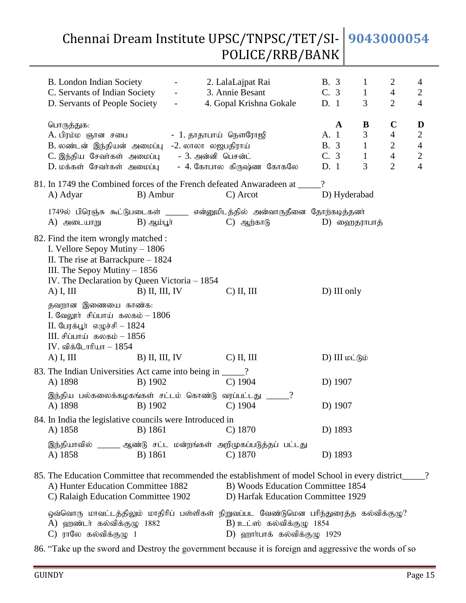| B. London Indian Society<br>C. Servants of Indian Society<br>D. Servants of People Society                                                                                                                                                                                                                                                                                            | $\omega_{\rm{max}}$ and $\omega_{\rm{max}}$<br>$\sim$ | - 2. LalaLajpat Rai<br>3. Annie Besant<br>4. Gopal Krishna Gokale                                                                                                           | <b>B.</b> 3<br>C. 3<br>D. 1                        | $\mathbf{1}$<br>$\mathbf{1}$<br>3           | $\overline{2}$<br>$\overline{4}$<br>$\overline{2}$                                | 4<br>$\overline{2}$<br>$\overline{4}$                             |
|---------------------------------------------------------------------------------------------------------------------------------------------------------------------------------------------------------------------------------------------------------------------------------------------------------------------------------------------------------------------------------------|-------------------------------------------------------|-----------------------------------------------------------------------------------------------------------------------------------------------------------------------------|----------------------------------------------------|---------------------------------------------|-----------------------------------------------------------------------------------|-------------------------------------------------------------------|
| பொருத்துக:<br>A. பிரம்ம ஞான சபை<br>B. லண்டன் இந்தியன் அமைப்பு -2. லாலா லஜபதிராய்<br>C. இந்திய சேவர்கள் அமைப்பு - 3. அன்னி பெசன்ட்                                                                                                                                                                                                                                                     |                                                       | - 1. தாதாபாய் நௌரோஜி                                                                                                                                                        | $\mathbf{A}$<br>A. 1<br><b>B.</b> 3<br>C. 3<br>D.1 | B<br>3<br>$\mathbf{1}$<br>$\mathbf{1}$<br>3 | $\mathbf C$<br>$\overline{4}$<br>$\mathbf{2}$<br>$\overline{4}$<br>$\overline{2}$ | D<br>$\sqrt{2}$<br>$\overline{4}$<br>$\sqrt{2}$<br>$\overline{4}$ |
| A) Adyar                                                                                                                                                                                                                                                                                                                                                                              | B) Ambur                                              | 81. In 1749 the Combined forces of the French defeated Anwaradeen at ____<br>C) Arcot                                                                                       | $\overline{\mathcal{L}}$<br>D) Hyderabad           |                                             |                                                                                   |                                                                   |
| $A)$ அடையாறு                                                                                                                                                                                                                                                                                                                                                                          | $B)$ ஆம்பூர்                                          | 1749ல் பிரெஞ்சு கூட்டுபடைகள் ______ என்னுமிடத்தில் அன்வாருதீனை தோற்கடித்தனர்<br>$\rm C)$ ஆற்காடு                                                                            | D) ஹைதராபாத்                                       |                                             |                                                                                   |                                                                   |
| 82. Find the item wrongly matched :<br>I. Vellore Sepoy Mutiny - 1806<br>II. The rise at Barrackpure $-1824$<br>III. The Sepoy Mutiny $-1856$<br>IV. The Declaration by Queen Victoria - 1854<br>$A)$ I, III<br>தவறான இணையை காண்க:<br>I. வேலூர் சிப்பாய் கலகம் $-1806$<br>$II.$ பேரக்பூர் எழுச்சி – $1824$<br>$III.$ சிப்பாய் கலகம் - 1856<br>$IV.$ விக்டோரியா $-1854$<br>$A)$ I, III | $B)$ II, III, IV<br>$B)$ II, III, IV                  | $C)$ II, III<br>$C)$ II, III                                                                                                                                                | D) III only<br>D) III மட்டும்                      |                                             |                                                                                   |                                                                   |
| 83. The Indian Universities Act came into being in _____?<br>A) 1898                                                                                                                                                                                                                                                                                                                  | B) 1902                                               | $C)$ 1904                                                                                                                                                                   | D) 1907                                            |                                             |                                                                                   |                                                                   |
| இந்திய பல்கலைக்கழகங்கள் சட்டம் கொண்டு வரப்பட்டது<br>A) 1898                                                                                                                                                                                                                                                                                                                           | B) 1902                                               | $C)$ 1904                                                                                                                                                                   | D) 1907                                            |                                             |                                                                                   |                                                                   |
| 84. In India the legislative councils were Introduced in<br>A) 1858                                                                                                                                                                                                                                                                                                                   | B) 1861                                               | $C)$ 1870                                                                                                                                                                   | D) 1893                                            |                                             |                                                                                   |                                                                   |
| A) 1858                                                                                                                                                                                                                                                                                                                                                                               | B) 1861                                               | இந்தியாவில் ______ ஆண்டு சட்ட மன்றங்கள் அறிமுகப்படுத்தப் பட்டது<br>$C)$ 1870                                                                                                | D) 1893                                            |                                             |                                                                                   |                                                                   |
| A) Hunter Education Committee 1882<br>C) Ralaigh Education Committee 1902                                                                                                                                                                                                                                                                                                             |                                                       | 85. The Education Committee that recommended the establishment of model School in every district<br>B) Woods Education Committee 1854<br>D) Harfak Education Committee 1929 |                                                    |                                             |                                                                                   |                                                                   |
| A) ஹண்டர் கல்விக்குழு 1882<br>$C$ ) ராலே கல்விக்குழு 1                                                                                                                                                                                                                                                                                                                                |                                                       | ஒவ்வொரு மாவட்டத்திலும் மாதிரிப் பள்ளிகள் நிறுவப்பட வேண்டுமென பரிந்துரைத்த கல்விக்குழு?<br>$B$ ) உட்ஸ் கல்விக்குழு 1854<br>$D)$ ஹார்பாக் கல்விக்குழு 1929                    |                                                    |                                             |                                                                                   |                                                                   |

86. "Take up the sword and Destroy the government because it is foreign and aggressive the words of so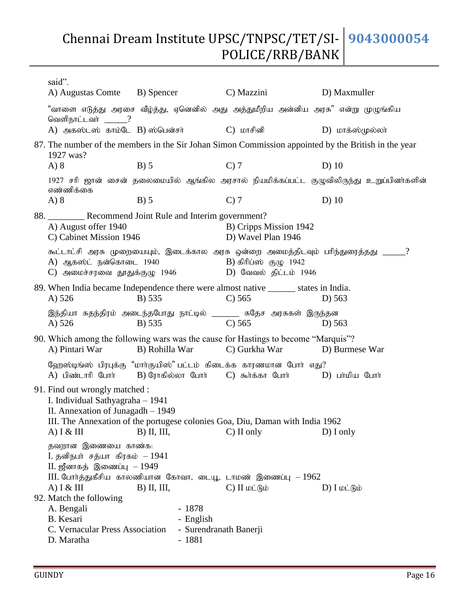| said".<br>A) Augustas Comte                                                                                                                                                                              |                                        | C) Mazzini                                                                                                                                                                                                                                                                                                            | D) Maxmuller                                                                                                                                                                                                                                                                                                                                                                                                                                                                                                                                                                                                                                                                                                                                                                                                                                                                                                                    |  |  |  |  |  |
|----------------------------------------------------------------------------------------------------------------------------------------------------------------------------------------------------------|----------------------------------------|-----------------------------------------------------------------------------------------------------------------------------------------------------------------------------------------------------------------------------------------------------------------------------------------------------------------------|---------------------------------------------------------------------------------------------------------------------------------------------------------------------------------------------------------------------------------------------------------------------------------------------------------------------------------------------------------------------------------------------------------------------------------------------------------------------------------------------------------------------------------------------------------------------------------------------------------------------------------------------------------------------------------------------------------------------------------------------------------------------------------------------------------------------------------------------------------------------------------------------------------------------------------|--|--|--|--|--|
| வெளிநாட்டவா்<br>$\equiv$ ?                                                                                                                                                                               |                                        |                                                                                                                                                                                                                                                                                                                       |                                                                                                                                                                                                                                                                                                                                                                                                                                                                                                                                                                                                                                                                                                                                                                                                                                                                                                                                 |  |  |  |  |  |
|                                                                                                                                                                                                          |                                        | C) மாசினி                                                                                                                                                                                                                                                                                                             | $D)$ மாக்ஸ்முல்லா்                                                                                                                                                                                                                                                                                                                                                                                                                                                                                                                                                                                                                                                                                                                                                                                                                                                                                                              |  |  |  |  |  |
| 1927 was?                                                                                                                                                                                                |                                        |                                                                                                                                                                                                                                                                                                                       |                                                                                                                                                                                                                                                                                                                                                                                                                                                                                                                                                                                                                                                                                                                                                                                                                                                                                                                                 |  |  |  |  |  |
| A) 8                                                                                                                                                                                                     | $B)$ 5                                 | $C$ ) 7                                                                                                                                                                                                                                                                                                               | $D)$ 10                                                                                                                                                                                                                                                                                                                                                                                                                                                                                                                                                                                                                                                                                                                                                                                                                                                                                                                         |  |  |  |  |  |
| எண்ணிக்கை                                                                                                                                                                                                |                                        |                                                                                                                                                                                                                                                                                                                       |                                                                                                                                                                                                                                                                                                                                                                                                                                                                                                                                                                                                                                                                                                                                                                                                                                                                                                                                 |  |  |  |  |  |
| A) 8                                                                                                                                                                                                     | $B)$ 5                                 | $C$ ) $7$                                                                                                                                                                                                                                                                                                             | $D)$ 10                                                                                                                                                                                                                                                                                                                                                                                                                                                                                                                                                                                                                                                                                                                                                                                                                                                                                                                         |  |  |  |  |  |
|                                                                                                                                                                                                          |                                        |                                                                                                                                                                                                                                                                                                                       |                                                                                                                                                                                                                                                                                                                                                                                                                                                                                                                                                                                                                                                                                                                                                                                                                                                                                                                                 |  |  |  |  |  |
| A) August offer 1940                                                                                                                                                                                     |                                        | B) Cripps Mission 1942<br>D) Wavel Plan 1946                                                                                                                                                                                                                                                                          |                                                                                                                                                                                                                                                                                                                                                                                                                                                                                                                                                                                                                                                                                                                                                                                                                                                                                                                                 |  |  |  |  |  |
|                                                                                                                                                                                                          |                                        | B) கிரிப்ஸ் குழு $1942$<br>D) வேவல் திட்டம் $1946$                                                                                                                                                                                                                                                                    |                                                                                                                                                                                                                                                                                                                                                                                                                                                                                                                                                                                                                                                                                                                                                                                                                                                                                                                                 |  |  |  |  |  |
|                                                                                                                                                                                                          |                                        |                                                                                                                                                                                                                                                                                                                       | $D)$ 563                                                                                                                                                                                                                                                                                                                                                                                                                                                                                                                                                                                                                                                                                                                                                                                                                                                                                                                        |  |  |  |  |  |
| A) $526$                                                                                                                                                                                                 | B) 535                                 | $C$ ) 565                                                                                                                                                                                                                                                                                                             | D) 563                                                                                                                                                                                                                                                                                                                                                                                                                                                                                                                                                                                                                                                                                                                                                                                                                                                                                                                          |  |  |  |  |  |
| A) Pintari War                                                                                                                                                                                           |                                        | C) Gurkha War                                                                                                                                                                                                                                                                                                         | D) Burmese War                                                                                                                                                                                                                                                                                                                                                                                                                                                                                                                                                                                                                                                                                                                                                                                                                                                                                                                  |  |  |  |  |  |
| A) பிண்டாரி போர்                                                                                                                                                                                         |                                        |                                                                                                                                                                                                                                                                                                                       | D) பாமிய போர்                                                                                                                                                                                                                                                                                                                                                                                                                                                                                                                                                                                                                                                                                                                                                                                                                                                                                                                   |  |  |  |  |  |
| 91. Find out wrongly matched :<br>I. Individual Sathyagraha - 1941<br>II. Annexation of Junagadh - 1949<br>III. The Annexation of the portugese colonies Goa, Diu, Daman with India 1962<br>$D$ ) I only |                                        |                                                                                                                                                                                                                                                                                                                       |                                                                                                                                                                                                                                                                                                                                                                                                                                                                                                                                                                                                                                                                                                                                                                                                                                                                                                                                 |  |  |  |  |  |
| $A)$ I & III<br>92. Match the following<br>A. Bengali<br>B. Kesari                                                                                                                                       | $B)$ II, III,<br>$-1878$<br>- English  | $C$ ) $H$ $\omega$ $\dot{\theta}$ $\dot{\theta}$                                                                                                                                                                                                                                                                      | $D)$ $I$ $\omega$ $\dot{L}$ $\dot{B}$ $\dot{\omega}$                                                                                                                                                                                                                                                                                                                                                                                                                                                                                                                                                                                                                                                                                                                                                                                                                                                                            |  |  |  |  |  |
|                                                                                                                                                                                                          | A) $526$<br>$A)$ I & III<br>D. Maratha | B) Spencer<br>A) அகஸ்டஸ் காம்டே B) ஸ்பென்சர்<br>C) Cabinet Mission 1946<br>A) ஆகஸ்ட் நன்கொடை 1940<br>C) அமைச்சரவை தூதுக்குழு 1946<br>B) 535<br>B) Rohilla War<br>$B)$ II, III,<br>தவறான இணையை காண்க:<br>I. தனிநபர் சத்யா கிரகம் – 1941<br>$II.$ ஜீனாகத் இணைப்பு $-1949$<br>C. Vernacular Press Association<br>$-1881$ | "வாளை எடுத்து அரசை வீழ்த்து, ஏனெனில் அது அத்துமீறிய அன்னிய அரசு" என்று முழுங்கிய<br>87. The number of the members in the Sir Johan Simon Commission appointed by the British in the year<br>1927 சரி ஜான் சைன் தலைமையில் ஆங்கில அரசால் நியமிக்கப்பட்ட குழுவிலிருந்து உறுப்பினர்களின்<br>88. Recommend Joint Rule and Interim government?<br>கூட்டாட்சி அரசு முறையையும், இடைக்கால அரசு ஒன்றை அமைத்திடவும் பரிந்துரைத்தது ______?<br>89. When India became Independence there were almost native ________ states in India.<br>$C$ ) 565<br>இந்தியா சுதந்திரம் அடைந்தபோது நாட்டில் _______ சுதேச அரசுகள் இருந்தன<br>90. Which among the following wars was the cause for Hastings to become "Marquis"?<br>ஹேஸ்டிங்ஸ் பிரபுக்கு "மாா்குயிஸ்" பட்டம் கிடைக்க காரணமான போா் எது?<br>B) ரோகில்லா போர்     C)  கூர்க்கா  போர்<br>$C)$ II only<br>III. போர்த்துகீசிய காலணியான கோவா, டையூ, டாமண் இணைப்பு $-1962$<br>- Surendranath Banerji |  |  |  |  |  |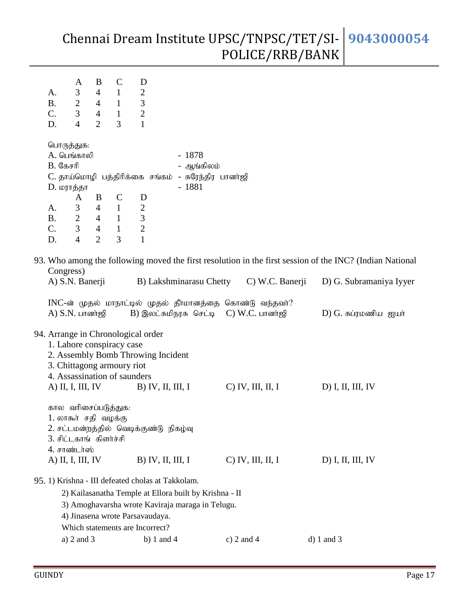| А.<br><b>B.</b><br>C.<br>D.                                                                                                                                                                                               | A<br>3<br>$\overline{2}$<br>3<br>$\overline{4}$ | B<br>$\overline{4}$<br>$\overline{4}$<br>$\overline{4}$<br>$\overline{2}$ | $\mathcal{C}$<br>$\mathbf{1}$<br>$\mathbf{1}$<br>$\mathbf{1}$<br>3 | D<br>$\overline{2}$<br>$\mathfrak{Z}$<br>$\overline{2}$<br>$\mathbf{1}$                         |                                                                                        |  |                                                                                                          |  |                                                                                                          |
|---------------------------------------------------------------------------------------------------------------------------------------------------------------------------------------------------------------------------|-------------------------------------------------|---------------------------------------------------------------------------|--------------------------------------------------------------------|-------------------------------------------------------------------------------------------------|----------------------------------------------------------------------------------------|--|----------------------------------------------------------------------------------------------------------|--|----------------------------------------------------------------------------------------------------------|
| பொருத்துக:<br><b>A.</b> பெங்காலி<br>$B.$ С $B$ $\sigma$ $n$ $\theta$<br>D. மராத்தா                                                                                                                                        |                                                 |                                                                           |                                                                    |                                                                                                 | $-1878$<br>- ஆங்கிலம்<br>C. தாய்மொழி பத்திரிக்கை சங்கம் - சுரேந்திர பானர்ஜி<br>$-1881$ |  |                                                                                                          |  |                                                                                                          |
|                                                                                                                                                                                                                           | A                                               | B                                                                         | $\mathbf C$                                                        | D                                                                                               |                                                                                        |  |                                                                                                          |  |                                                                                                          |
| A.                                                                                                                                                                                                                        | 3                                               | $\overline{4}$                                                            | $\mathbf{1}$                                                       | $\overline{c}$                                                                                  |                                                                                        |  |                                                                                                          |  |                                                                                                          |
| <b>B.</b>                                                                                                                                                                                                                 | $\overline{2}$                                  | $\overline{4}$                                                            | $\mathbf{1}$                                                       | $\mathfrak{Z}$                                                                                  |                                                                                        |  |                                                                                                          |  |                                                                                                          |
| C.<br>D.                                                                                                                                                                                                                  | 3<br>$\overline{4}$                             | $\overline{4}$<br>$\overline{2}$                                          | $\mathbf{1}$<br>3                                                  | $\overline{2}$<br>$\overline{1}$                                                                |                                                                                        |  |                                                                                                          |  |                                                                                                          |
| Congress)                                                                                                                                                                                                                 |                                                 |                                                                           |                                                                    |                                                                                                 |                                                                                        |  |                                                                                                          |  | 93. Who among the following moved the first resolution in the first session of the INC? (Indian National |
| A) S.N. Banerji                                                                                                                                                                                                           |                                                 |                                                                           |                                                                    |                                                                                                 |                                                                                        |  | B) Lakshminarasu Chetty C) W.C. Banerji                                                                  |  | D) G. Subramaniya Iyyer                                                                                  |
| $A)$ $S.N.$ பானா்ஜி                                                                                                                                                                                                       |                                                 |                                                                           |                                                                    |                                                                                                 |                                                                                        |  | INC-ன் முதல் மாநாட்டில் முதல் தீர்மானத்தை கொண்டு வந்தவர்?<br>$B$ ) இலட்சுமிநரசு செட்டி $C$ ) W.C. பானாஜி |  | D) G. சுப்ரமணிய ஐயா்                                                                                     |
| 1. Lahore conspiracy case<br>3. Chittagong armoury riot<br>4. Assassination of saunders<br>$A)$ II, I, III, IV                                                                                                            |                                                 |                                                                           |                                                                    | 94. Arrange in Chronological order<br>2. Assembly Bomb Throwing Incident<br>$B)$ IV, II, III, I |                                                                                        |  | $C$ IV, III, II, I                                                                                       |  | $D)$ I, II, III, IV                                                                                      |
| கால வரிசைப்படுத்துக:<br>1. லாகூர் சதி வழக்கு<br>2. சட்டமன்றத்தில் வெடிக்குண்டு நிகழ்வு<br>3. சிட்டகாங் கிளர்ச்சி<br>4. சாண்டர்ஸ்<br>A) II, I, III, IV<br>$B)$ IV, II, III, I<br>$C$ IV, III, II, I<br>$D)$ I, II, III, IV |                                                 |                                                                           |                                                                    |                                                                                                 |                                                                                        |  |                                                                                                          |  |                                                                                                          |
|                                                                                                                                                                                                                           |                                                 |                                                                           |                                                                    | 95. 1) Krishna - III defeated cholas at Takkolam.                                               | 2) Kailasanatha Temple at Ellora built by Krishna - II                                 |  |                                                                                                          |  |                                                                                                          |
|                                                                                                                                                                                                                           |                                                 |                                                                           |                                                                    |                                                                                                 | 3) Amoghavarsha wrote Kaviraja maraga in Telugu.                                       |  |                                                                                                          |  |                                                                                                          |
|                                                                                                                                                                                                                           |                                                 |                                                                           |                                                                    | 4) Jinasena wrote Parsavaudaya.                                                                 |                                                                                        |  |                                                                                                          |  |                                                                                                          |
|                                                                                                                                                                                                                           |                                                 |                                                                           |                                                                    | Which statements are Incorrect?                                                                 |                                                                                        |  |                                                                                                          |  |                                                                                                          |
|                                                                                                                                                                                                                           | a) $2$ and $3$                                  |                                                                           |                                                                    | b) 1 and 4                                                                                      |                                                                                        |  | c) $2$ and $4$                                                                                           |  | $d) 1$ and 3                                                                                             |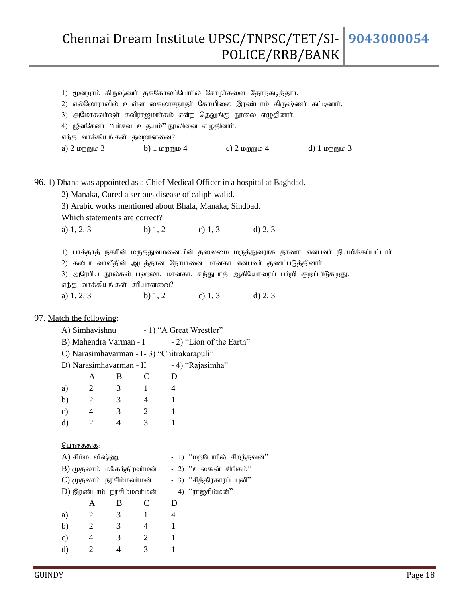|                               | 1) மூன்றாம் கிருஷ்ணர் தக்கோலப்போரில் சோழர்களை தோற்கடித்தார்.                          |  |  |
|-------------------------------|---------------------------------------------------------------------------------------|--|--|
| 2)                            | எல்லோராவில் உள்ள கைலாசநாதா் கோயிலை இரண்டாம் கிருஷ்ணா் கட்டினாா்.                      |  |  |
| 3)                            | அமோகவா்ஷா் கவிராஜமாா்கம் என்ற தெலுங்கு நூலை எழுதினாா்.                                |  |  |
|                               | 4) ஜீனசேனா் ''பா்சவ உதயம்'' நூலினை எழுதினாா்.                                         |  |  |
| எந்த வாக்கியங்கள் தவறானவை?    |                                                                                       |  |  |
|                               | a) $2 \log_p \omega$ b) $1 \log_p \omega$ c) $2 \log_p \omega$ d) $1 \log_p \omega$ 3 |  |  |
|                               |                                                                                       |  |  |
|                               |                                                                                       |  |  |
|                               | 96. 1) Dhana was appointed as a Chief Medical Officer in a hospital at Baghdad.       |  |  |
|                               | 2) Manaka, Cured a serious disease of caliph walid.                                   |  |  |
|                               | 3) Arabic works mentioned about Bhala, Manaka, Sindbad.                               |  |  |
| Which statements are correct? |                                                                                       |  |  |
|                               | a) 1, 2, 3 b) 1, 2 c) 1, 3 d) 2, 3                                                    |  |  |
|                               |                                                                                       |  |  |
|                               | 1) பாக்தாத் நகரின் மருத்துவமனையின் தலைமை மருத்துவராக தாணா என்பவா் நியமிக்கப்பட்டாா்.  |  |  |
|                               | 2) கலீபா வாலீதின் ஆபத்தான நோயினை மானகா என்பவர் குணப்படுத்தினார்.                      |  |  |
|                               | 3) அரேபிய நூல்கள் பஹலா, மானகா, சிந்துபாத் ஆகியோரைப் பற்றி குறிப்பிடுகிறது.            |  |  |
| எந்த வாக்கியங்கள் சரியானவை?   |                                                                                       |  |  |
|                               | a) 1, 2, 3 b) 1, 2 c) 1, 3 d) 2, 3                                                    |  |  |
|                               |                                                                                       |  |  |
|                               |                                                                                       |  |  |

#### 97. Match the following:

|                                              |                   |                |                                                 | A) Simhavishnu - 1) "A Great Wrestler"   |  |  |  |  |  |
|----------------------------------------------|-------------------|----------------|-------------------------------------------------|------------------------------------------|--|--|--|--|--|
|                                              |                   |                | B) Mahendra Varman - I - 2) "Lion of the Earth" |                                          |  |  |  |  |  |
| C) Narasimhavarman - I - 3) "Chitrakarapuli" |                   |                |                                                 |                                          |  |  |  |  |  |
|                                              |                   |                |                                                 | D) Narasimhavarman - II - 4) "Rajasimha" |  |  |  |  |  |
|                                              | A                 | B              | C                                               | D                                        |  |  |  |  |  |
| a)                                           | $\overline{2}$    | 3              | 1                                               | 4                                        |  |  |  |  |  |
| b)                                           | $\overline{2}$    | 3              | $\overline{4}$                                  | 1                                        |  |  |  |  |  |
| $\mathbf{c})$                                | $4 \qquad 3$      |                | $\overline{2}$                                  | $\mathbf{1}$                             |  |  |  |  |  |
| d)                                           | 2                 | $\overline{4}$ | 3                                               | $\mathbf{1}$                             |  |  |  |  |  |
|                                              |                   |                |                                                 |                                          |  |  |  |  |  |
|                                              | <u>பொருக்துக:</u> |                |                                                 |                                          |  |  |  |  |  |
|                                              | A) சிம்ம விஷ்ணு   |                |                                                 | - 1) ''மற்போரில் சிறந்தவன்''             |  |  |  |  |  |
|                                              |                   |                | B) முதலாம் மகேந்திரவா்மன்                       | - 2) "உலகின் சிங்கம்"                    |  |  |  |  |  |
|                                              |                   |                | C) முதலாம்  நரசிம்மவா்மன்                       | - 3) ''சித்திரகாரப் புலி''               |  |  |  |  |  |
|                                              |                   |                | D) இரண்டாம்  நரசிம்மவர்மன்                      | - 4) "ராஜசிம்மன்"                        |  |  |  |  |  |
|                                              | A                 | B              | C                                               | D                                        |  |  |  |  |  |
| a)                                           | $\overline{2}$    | 3              | 1                                               | 4                                        |  |  |  |  |  |
| b)                                           | $\overline{2}$    | 3              | 4                                               | 1                                        |  |  |  |  |  |
| $\mathbf{c})$                                | 4                 | 3              | $\overline{2}$                                  | 1                                        |  |  |  |  |  |
| d)                                           | 2                 | $\overline{4}$ | 3                                               | 1                                        |  |  |  |  |  |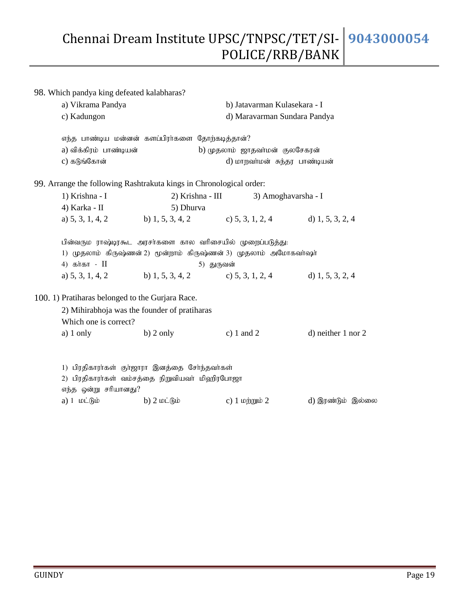98. Which pandya king defeated kalabharas? a) Vikrama Pandya b) Jatavarman Kulasekara - I c) Kadungon d) Maravarman Sundara Pandya எந்த பாண்டிய மன்னன் களப்பிரா்களை தோற்கடித்தான்? a) விக்கிரம் பாண்டியன் b) முதலாம் ஜாதவா்மன் குலசேகரன் c) fLq;Nfhd; d) khwth;kd; Re;ju ghz;bad; 99. Arrange the following Rashtrakuta kings in Chronological order: 1) Krishna - I 2) Krishna - III 3) Amoghavarsha - I 4) Karka - II 5) Dhurva a) 5, 3, 1, 4, 2 b) 1, 5, 3, 4, 2 c) 5, 3, 1, 2, 4 d) 1, 5, 3, 2, 4 பின்வரும ராஷ்டிரகூட அரசா்களை கால வாிசையில் முறைப்படுத்து: 1) முதலாம் கிருஷ்ணன் 2) மூன்றாம் கிருஷ்ணன் 3) முதலாம் அமோகவா்ஷா் 4) கர்கா - II 61 - 11 - 5) துருவன் a) 5, 3, 1, 4, 2 b) 1, 5, 3, 4, 2 c) 5, 3, 1, 2, 4 d) 1, 5, 3, 2, 4 100. 1) Pratiharas belonged to the Gurjara Race. 2) Mihirabhoja was the founder of pratiharas Which one is correct? a) 1 only b) 2 only c) 1 and 2 d) neither 1 nor 2 1) பிரதிகாரா்கள் குா்ஜாரா இனத்தை சோ்ந்தவா்கள் 2) பிரதிகாரா்கள் வம்சத்தை நிறுவியவா் மிஹிரபோஜா எந்த ஒன்று சரியானது? a) 1 மட்டும் b) 2 மட்டும் c) 1 மற்றும் 2 d) இரண்டும் இல்லை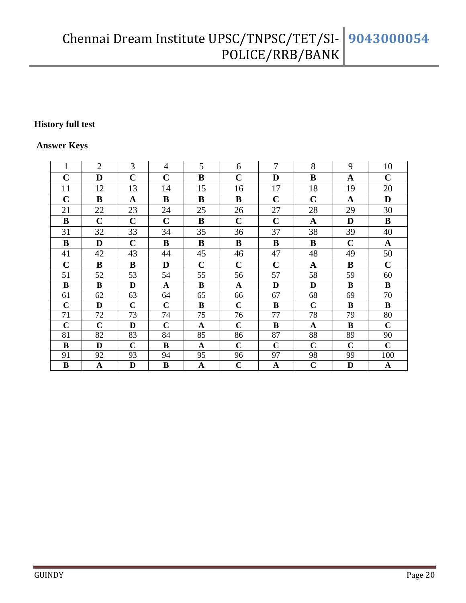#### **History full test**

#### **Answer Keys**

| 1              | $\overline{2}$ | 3           | 4           | 5            | 6           | 7            | 8            | 9           | 10          |
|----------------|----------------|-------------|-------------|--------------|-------------|--------------|--------------|-------------|-------------|
| $\mathbf C$    | D              | $\mathbf C$ | $\mathbf C$ | B            | $\mathbf C$ | D            | B            | A           | $\mathbf C$ |
| 11             | 12             | 13          | 14          | 15           | 16          | 17           | 18           | 19          | 20          |
| $\mathbf C$    | B              | A           | B           | B            | B           | $\mathbf C$  | $\mathbf C$  | A           | D           |
| 21             | 22             | 23          | 24          | 25           | 26          | 27           | 28           | 29          | 30          |
| B              | $\mathbf C$    | $\mathbf C$ | $\mathbf C$ | $\bf{B}$     | $\mathbf C$ | $\mathbf C$  | $\mathbf{A}$ | D           | $\bf{B}$    |
| 31             | 32             | 33          | 34          | 35           | 36          | 37           | 38           | 39          | 40          |
| B              | D              | $\mathbf C$ | B           | $\bf{B}$     | $\bf{B}$    | B            | B            | $\mathbf C$ | A           |
| 41             | 42             | 43          | 44          | 45           | 46          | 47           | 48           | 49          | 50          |
| $\mathbf C$    | $\bf{B}$       | $\bf{B}$    | D           | $\mathbf C$  | $\mathbf C$ | $\mathbf C$  | $\mathbf A$  | B           | $\mathbf C$ |
| 51             | 52             | 53          | 54          | 55           | 56          | 57           | 58           | 59          | 60          |
| B              | $\bf{B}$       | D           | A           | $\bf{B}$     | A           | D            | D            | B           | $\bf{B}$    |
| 61             | 62             | 63          | 64          | 65           | 66          | 67           | 68           | 69          | 70          |
| $\mathbf C$    | D              | $\mathbf C$ | $\mathbf C$ | $\bf{B}$     | $\mathbf C$ | B            | $\mathbf C$  | B           | $\bf{B}$    |
| 71             | 72             | 73          | 74          | 75           | 76          | 77           | 78           | 79          | 80          |
| $\overline{C}$ | $\mathbf C$    | D           | $\mathbf C$ | $\mathbf A$  | $\mathbf C$ | $\bf{B}$     | $\mathbf A$  | $\bf{B}$    | $\mathbf C$ |
| 81             | 82             | 83          | 84          | 85           | 86          | 87           | 88           | 89          | 90          |
| $\bf{B}$       | $\mathbf{D}$   | $\mathbf C$ | $\bf{B}$    | $\mathbf A$  | $\mathbf C$ | $\mathbf C$  | $\mathbf C$  | $\mathbf C$ | $\mathbf C$ |
| 91             | 92             | 93          | 94          | 95           | 96          | 97           | 98           | 99          | 100         |
| $\, {\bf B}$   | $\mathbf A$    | D           | $\bf{B}$    | $\mathbf{A}$ | $\mathbf C$ | $\mathbf{A}$ | $\mathbf C$  | $\mathbf D$ | $\mathbf A$ |